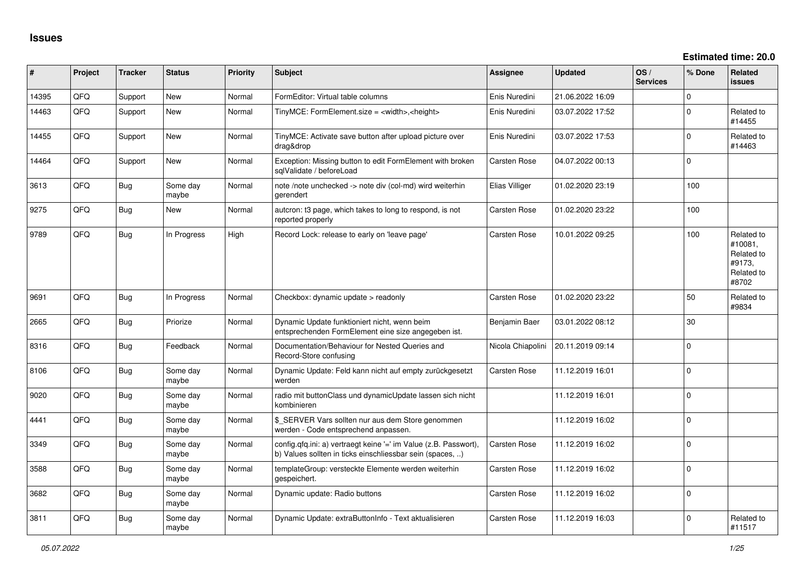| #     | Project | <b>Tracker</b> | <b>Status</b>     | <b>Priority</b> | <b>Subject</b>                                                                                                                | <b>Assignee</b>     | <b>Updated</b>   | OS/<br><b>Services</b> | % Done       | <b>Related</b><br><b>issues</b>                                      |
|-------|---------|----------------|-------------------|-----------------|-------------------------------------------------------------------------------------------------------------------------------|---------------------|------------------|------------------------|--------------|----------------------------------------------------------------------|
| 14395 | QFQ     | Support        | <b>New</b>        | Normal          | FormEditor: Virtual table columns                                                                                             | Enis Nuredini       | 21.06.2022 16:09 |                        | 0            |                                                                      |
| 14463 | QFQ     | Support        | New               | Normal          | TinyMCE: FormElement.size = <width>,<height></height></width>                                                                 | Enis Nuredini       | 03.07.2022 17:52 |                        | $\mathbf{0}$ | Related to<br>#14455                                                 |
| 14455 | QFQ     | Support        | <b>New</b>        | Normal          | TinyMCE: Activate save button after upload picture over<br>drag&drop                                                          | Enis Nuredini       | 03.07.2022 17:53 |                        | $\Omega$     | Related to<br>#14463                                                 |
| 14464 | QFQ     | Support        | <b>New</b>        | Normal          | Exception: Missing button to edit FormElement with broken<br>sglValidate / beforeLoad                                         | Carsten Rose        | 04.07.2022 00:13 |                        | 0            |                                                                      |
| 3613  | QFQ     | <b>Bug</b>     | Some day<br>maybe | Normal          | note /note unchecked -> note div (col-md) wird weiterhin<br>gerendert                                                         | Elias Villiger      | 01.02.2020 23:19 |                        | 100          |                                                                      |
| 9275  | QFQ     | Bug            | <b>New</b>        | Normal          | autcron: t3 page, which takes to long to respond, is not<br>reported properly                                                 | Carsten Rose        | 01.02.2020 23:22 |                        | 100          |                                                                      |
| 9789  | QFQ     | Bug            | In Progress       | High            | Record Lock: release to early on 'leave page'                                                                                 | Carsten Rose        | 10.01.2022 09:25 |                        | 100          | Related to<br>#10081.<br>Related to<br>#9173.<br>Related to<br>#8702 |
| 9691  | QFQ     | Bug            | In Progress       | Normal          | Checkbox: dynamic update > readonly                                                                                           | <b>Carsten Rose</b> | 01.02.2020 23:22 |                        | 50           | Related to<br>#9834                                                  |
| 2665  | QFQ     | <b>Bug</b>     | Priorize          | Normal          | Dynamic Update funktioniert nicht, wenn beim<br>entsprechenden FormElement eine size angegeben ist.                           | Benjamin Baer       | 03.01.2022 08:12 |                        | 30           |                                                                      |
| 8316  | QFQ     | <b>Bug</b>     | Feedback          | Normal          | Documentation/Behaviour for Nested Queries and<br>Record-Store confusing                                                      | Nicola Chiapolini   | 20.11.2019 09:14 |                        | $\mathbf{0}$ |                                                                      |
| 8106  | QFQ     | <b>Bug</b>     | Some day<br>maybe | Normal          | Dynamic Update: Feld kann nicht auf empty zurückgesetzt<br>werden                                                             | Carsten Rose        | 11.12.2019 16:01 |                        | 0            |                                                                      |
| 9020  | QFQ     | <b>Bug</b>     | Some day<br>maybe | Normal          | radio mit buttonClass und dynamicUpdate lassen sich nicht<br>kombinieren                                                      |                     | 11.12.2019 16:01 |                        | 0            |                                                                      |
| 4441  | QFQ     | <b>Bug</b>     | Some day<br>maybe | Normal          | \$_SERVER Vars sollten nur aus dem Store genommen<br>werden - Code entsprechend anpassen.                                     |                     | 11.12.2019 16:02 |                        | 0            |                                                                      |
| 3349  | QFQ     | <b>Bug</b>     | Some day<br>maybe | Normal          | config.qfq.ini: a) vertraegt keine '=' im Value (z.B. Passwort),<br>b) Values sollten in ticks einschliessbar sein (spaces, ) | Carsten Rose        | 11.12.2019 16:02 |                        | 0            |                                                                      |
| 3588  | QFQ     | Bug            | Some day<br>maybe | Normal          | templateGroup: versteckte Elemente werden weiterhin<br>gespeichert.                                                           | Carsten Rose        | 11.12.2019 16:02 |                        | $\Omega$     |                                                                      |
| 3682  | QFQ     | <b>Bug</b>     | Some day<br>maybe | Normal          | Dynamic update: Radio buttons                                                                                                 | Carsten Rose        | 11.12.2019 16:02 |                        | 0            |                                                                      |
| 3811  | QFQ     | <b>Bug</b>     | Some day<br>maybe | Normal          | Dynamic Update: extraButtonInfo - Text aktualisieren                                                                          | Carsten Rose        | 11.12.2019 16:03 |                        | 0            | Related to<br>#11517                                                 |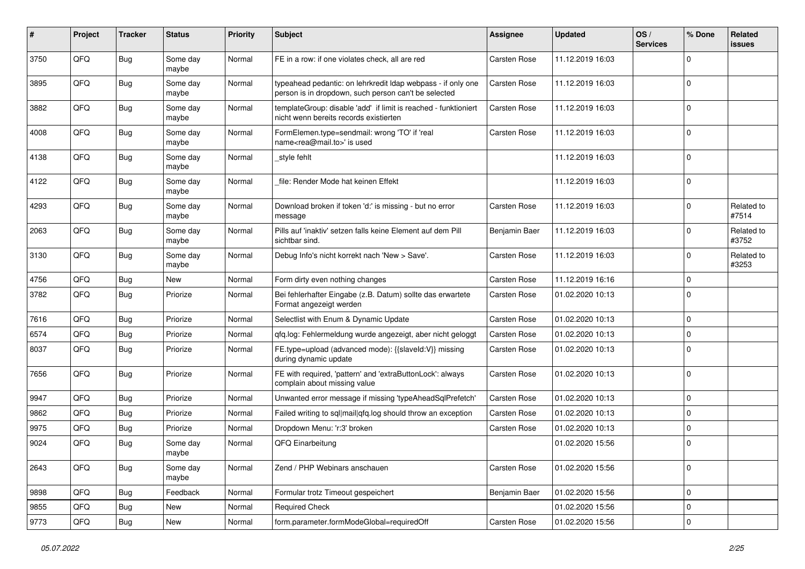| ∦    | Project | <b>Tracker</b> | <b>Status</b>     | <b>Priority</b> | Subject                                                                                                              | <b>Assignee</b>     | <b>Updated</b>   | OS/<br><b>Services</b> | % Done      | Related<br>issues   |
|------|---------|----------------|-------------------|-----------------|----------------------------------------------------------------------------------------------------------------------|---------------------|------------------|------------------------|-------------|---------------------|
| 3750 | QFQ     | <b>Bug</b>     | Some day<br>maybe | Normal          | FE in a row: if one violates check, all are red                                                                      | <b>Carsten Rose</b> | 11.12.2019 16:03 |                        | $\Omega$    |                     |
| 3895 | QFQ     | <b>Bug</b>     | Some day<br>maybe | Normal          | typeahead pedantic: on lehrkredit Idap webpass - if only one<br>person is in dropdown, such person can't be selected | Carsten Rose        | 11.12.2019 16:03 |                        | $\Omega$    |                     |
| 3882 | QFQ     | Bug            | Some day<br>maybe | Normal          | templateGroup: disable 'add' if limit is reached - funktioniert<br>nicht wenn bereits records existierten            | Carsten Rose        | 11.12.2019 16:03 |                        | $\Omega$    |                     |
| 4008 | QFQ     | <b>Bug</b>     | Some day<br>maybe | Normal          | FormElemen.type=sendmail: wrong 'TO' if 'real<br>name <rea@mail.to>' is used</rea@mail.to>                           | Carsten Rose        | 11.12.2019 16:03 |                        | $\Omega$    |                     |
| 4138 | QFQ     | <b>Bug</b>     | Some day<br>maybe | Normal          | _style fehlt                                                                                                         |                     | 11.12.2019 16:03 |                        | $\Omega$    |                     |
| 4122 | QFQ     | <b>Bug</b>     | Some day<br>maybe | Normal          | file: Render Mode hat keinen Effekt                                                                                  |                     | 11.12.2019 16:03 |                        | $\Omega$    |                     |
| 4293 | QFQ     | <b>Bug</b>     | Some day<br>maybe | Normal          | Download broken if token 'd:' is missing - but no error<br>message                                                   | <b>Carsten Rose</b> | 11.12.2019 16:03 |                        | $\Omega$    | Related to<br>#7514 |
| 2063 | QFQ     | <b>Bug</b>     | Some day<br>maybe | Normal          | Pills auf 'inaktiv' setzen falls keine Element auf dem Pill<br>sichtbar sind.                                        | Benjamin Baer       | 11.12.2019 16:03 |                        | $\Omega$    | Related to<br>#3752 |
| 3130 | QFQ     | <b>Bug</b>     | Some day<br>maybe | Normal          | Debug Info's nicht korrekt nach 'New > Save'.                                                                        | Carsten Rose        | 11.12.2019 16:03 |                        | $\Omega$    | Related to<br>#3253 |
| 4756 | QFQ     | Bug            | New               | Normal          | Form dirty even nothing changes                                                                                      | Carsten Rose        | 11.12.2019 16:16 |                        | 0           |                     |
| 3782 | QFQ     | <b>Bug</b>     | Priorize          | Normal          | Bei fehlerhafter Eingabe (z.B. Datum) sollte das erwartete<br>Format angezeigt werden                                | Carsten Rose        | 01.02.2020 10:13 |                        | $\Omega$    |                     |
| 7616 | QFQ     | <b>Bug</b>     | Priorize          | Normal          | Selectlist with Enum & Dynamic Update                                                                                | <b>Carsten Rose</b> | 01.02.2020 10:13 |                        | $\Omega$    |                     |
| 6574 | QFQ     | Bug            | Priorize          | Normal          | qfq.log: Fehlermeldung wurde angezeigt, aber nicht geloggt                                                           | Carsten Rose        | 01.02.2020 10:13 |                        | 0           |                     |
| 8037 | QFQ     | <b>Bug</b>     | Priorize          | Normal          | FE.type=upload (advanced mode): {{slaveld:V}} missing<br>during dynamic update                                       | Carsten Rose        | 01.02.2020 10:13 |                        | $\Omega$    |                     |
| 7656 | QFQ     | <b>Bug</b>     | Priorize          | Normal          | FE with required, 'pattern' and 'extraButtonLock': always<br>complain about missing value                            | Carsten Rose        | 01.02.2020 10:13 |                        | $\Omega$    |                     |
| 9947 | QFQ     | <b>Bug</b>     | Priorize          | Normal          | Unwanted error message if missing 'typeAheadSqlPrefetch'                                                             | Carsten Rose        | 01.02.2020 10:13 |                        | $\mathbf 0$ |                     |
| 9862 | QFQ     | <b>Bug</b>     | Priorize          | Normal          | Failed writing to sql mail qfq.log should throw an exception                                                         | <b>Carsten Rose</b> | 01.02.2020 10:13 |                        | $\mathbf 0$ |                     |
| 9975 | QFQ     | <b>Bug</b>     | Priorize          | Normal          | Dropdown Menu: 'r:3' broken                                                                                          | Carsten Rose        | 01.02.2020 10:13 |                        | $\Omega$    |                     |
| 9024 | QFQ     | Bug            | Some day<br>maybe | Normal          | QFQ Einarbeitung                                                                                                     |                     | 01.02.2020 15:56 |                        | 0           |                     |
| 2643 | QFQ     | <b>Bug</b>     | Some day<br>maybe | Normal          | Zend / PHP Webinars anschauen                                                                                        | Carsten Rose        | 01.02.2020 15:56 |                        | $\mathbf 0$ |                     |
| 9898 | QFQ     | <b>Bug</b>     | Feedback          | Normal          | Formular trotz Timeout gespeichert                                                                                   | Benjamin Baer       | 01.02.2020 15:56 |                        | 0           |                     |
| 9855 | QFQ     | <b>Bug</b>     | New               | Normal          | <b>Required Check</b>                                                                                                |                     | 01.02.2020 15:56 |                        | $\mathbf 0$ |                     |
| 9773 | QFG     | Bug            | New               | Normal          | form.parameter.formModeGlobal=requiredOff                                                                            | Carsten Rose        | 01.02.2020 15:56 |                        | $\mathbf 0$ |                     |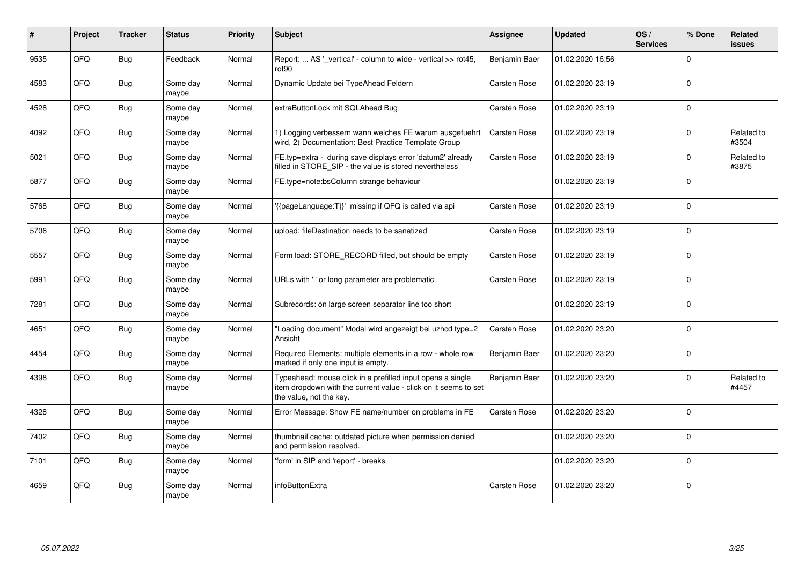| ∦    | Project | <b>Tracker</b> | <b>Status</b>     | <b>Priority</b> | <b>Subject</b>                                                                                                                                           | Assignee            | <b>Updated</b>   | OS/<br><b>Services</b> | % Done       | Related<br>issues   |
|------|---------|----------------|-------------------|-----------------|----------------------------------------------------------------------------------------------------------------------------------------------------------|---------------------|------------------|------------------------|--------------|---------------------|
| 9535 | QFQ     | <b>Bug</b>     | Feedback          | Normal          | Report:  AS '_vertical' - column to wide - vertical >> rot45,<br>rot90                                                                                   | Benjamin Baer       | 01.02.2020 15:56 |                        | $\Omega$     |                     |
| 4583 | QFQ     | <b>Bug</b>     | Some day<br>maybe | Normal          | Dynamic Update bei TypeAhead Feldern                                                                                                                     | <b>Carsten Rose</b> | 01.02.2020 23:19 |                        | $\Omega$     |                     |
| 4528 | QFQ     | Bug            | Some day<br>maybe | Normal          | extraButtonLock mit SQLAhead Bug                                                                                                                         | Carsten Rose        | 01.02.2020 23:19 |                        | $\mathbf 0$  |                     |
| 4092 | QFQ     | <b>Bug</b>     | Some day<br>maybe | Normal          | 1) Logging verbessern wann welches FE warum ausgefuehrt<br>wird, 2) Documentation: Best Practice Template Group                                          | Carsten Rose        | 01.02.2020 23:19 |                        | $\mathbf{0}$ | Related to<br>#3504 |
| 5021 | QFQ     | <b>Bug</b>     | Some day<br>maybe | Normal          | FE.typ=extra - during save displays error 'datum2' already<br>filled in STORE_SIP - the value is stored nevertheless                                     | Carsten Rose        | 01.02.2020 23:19 |                        | $\mathbf 0$  | Related to<br>#3875 |
| 5877 | QFQ     | <b>Bug</b>     | Some day<br>maybe | Normal          | FE.type=note:bsColumn strange behaviour                                                                                                                  |                     | 01.02.2020 23:19 |                        | $\mathbf 0$  |                     |
| 5768 | QFQ     | <b>Bug</b>     | Some day<br>maybe | Normal          | '{{pageLanguage:T}}' missing if QFQ is called via api                                                                                                    | Carsten Rose        | 01.02.2020 23:19 |                        | $\mathbf 0$  |                     |
| 5706 | QFQ     | <b>Bug</b>     | Some day<br>maybe | Normal          | upload: fileDestination needs to be sanatized                                                                                                            | Carsten Rose        | 01.02.2020 23:19 |                        | 0            |                     |
| 5557 | QFQ     | <b>Bug</b>     | Some day<br>maybe | Normal          | Form load: STORE RECORD filled, but should be empty                                                                                                      | Carsten Rose        | 01.02.2020 23:19 |                        | $\Omega$     |                     |
| 5991 | QFQ     | <b>Bug</b>     | Some day<br>maybe | Normal          | URLs with ' ' or long parameter are problematic                                                                                                          | Carsten Rose        | 01.02.2020 23:19 |                        | $\mathbf 0$  |                     |
| 7281 | QFQ     | Bug            | Some day<br>maybe | Normal          | Subrecords: on large screen separator line too short                                                                                                     |                     | 01.02.2020 23:19 |                        | $\mathbf 0$  |                     |
| 4651 | QFQ     | <b>Bug</b>     | Some day<br>maybe | Normal          | "Loading document" Modal wird angezeigt bei uzhcd type=2<br>Ansicht                                                                                      | Carsten Rose        | 01.02.2020 23:20 |                        | $\Omega$     |                     |
| 4454 | QFQ     | <b>Bug</b>     | Some day<br>maybe | Normal          | Required Elements: multiple elements in a row - whole row<br>marked if only one input is empty.                                                          | Benjamin Baer       | 01.02.2020 23:20 |                        | $\mathbf 0$  |                     |
| 4398 | QFQ     | <b>Bug</b>     | Some day<br>maybe | Normal          | Typeahead: mouse click in a prefilled input opens a single<br>item dropdown with the current value - click on it seems to set<br>the value, not the key. | Benjamin Baer       | 01.02.2020 23:20 |                        | $\Omega$     | Related to<br>#4457 |
| 4328 | QFQ     | <b>Bug</b>     | Some day<br>maybe | Normal          | Error Message: Show FE name/number on problems in FE                                                                                                     | Carsten Rose        | 01.02.2020 23:20 |                        | $\Omega$     |                     |
| 7402 | QFQ     | <b>Bug</b>     | Some day<br>maybe | Normal          | thumbnail cache: outdated picture when permission denied<br>and permission resolved.                                                                     |                     | 01.02.2020 23:20 |                        | $\Omega$     |                     |
| 7101 | QFQ     | <b>Bug</b>     | Some day<br>maybe | Normal          | 'form' in SIP and 'report' - breaks                                                                                                                      |                     | 01.02.2020 23:20 |                        | $\Omega$     |                     |
| 4659 | QFQ     | <b>Bug</b>     | Some day<br>maybe | Normal          | infoButtonExtra                                                                                                                                          | <b>Carsten Rose</b> | 01.02.2020 23:20 |                        | $\mathbf 0$  |                     |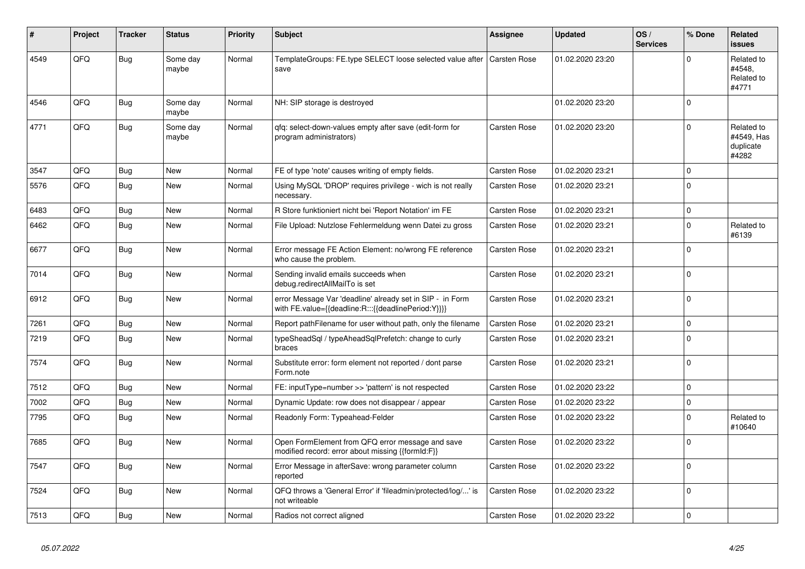| ∦    | Project | <b>Tracker</b> | <b>Status</b>     | <b>Priority</b> | <b>Subject</b>                                                                                                   | Assignee            | <b>Updated</b>   | OS/<br><b>Services</b> | % Done      | <b>Related</b><br><b>issues</b>                |
|------|---------|----------------|-------------------|-----------------|------------------------------------------------------------------------------------------------------------------|---------------------|------------------|------------------------|-------------|------------------------------------------------|
| 4549 | QFQ     | <b>Bug</b>     | Some day<br>maybe | Normal          | TemplateGroups: FE.type SELECT loose selected value after<br>save                                                | <b>Carsten Rose</b> | 01.02.2020 23:20 |                        | $\Omega$    | Related to<br>#4548,<br>Related to<br>#4771    |
| 4546 | QFQ     | <b>Bug</b>     | Some day<br>maybe | Normal          | NH: SIP storage is destroyed                                                                                     |                     | 01.02.2020 23:20 |                        | $\Omega$    |                                                |
| 4771 | QFQ     | <b>Bug</b>     | Some day<br>maybe | Normal          | qfq: select-down-values empty after save (edit-form for<br>program administrators)                               | Carsten Rose        | 01.02.2020 23:20 |                        | $\Omega$    | Related to<br>#4549, Has<br>duplicate<br>#4282 |
| 3547 | QFQ     | Bug            | <b>New</b>        | Normal          | FE of type 'note' causes writing of empty fields.                                                                | Carsten Rose        | 01.02.2020 23:21 |                        | $\Omega$    |                                                |
| 5576 | QFQ     | <b>Bug</b>     | <b>New</b>        | Normal          | Using MySQL 'DROP' requires privilege - wich is not really<br>necessary.                                         | <b>Carsten Rose</b> | 01.02.2020 23:21 |                        | $\Omega$    |                                                |
| 6483 | QFQ     | Bug            | <b>New</b>        | Normal          | R Store funktioniert nicht bei 'Report Notation' im FE                                                           | Carsten Rose        | 01.02.2020 23:21 |                        | $\mathbf 0$ |                                                |
| 6462 | QFQ     | <b>Bug</b>     | <b>New</b>        | Normal          | File Upload: Nutzlose Fehlermeldung wenn Datei zu gross                                                          | <b>Carsten Rose</b> | 01.02.2020 23:21 |                        | $\Omega$    | Related to<br>#6139                            |
| 6677 | QFQ     | Bug            | <b>New</b>        | Normal          | Error message FE Action Element: no/wrong FE reference<br>who cause the problem.                                 | Carsten Rose        | 01.02.2020 23:21 |                        | $\Omega$    |                                                |
| 7014 | QFQ     | Bug            | <b>New</b>        | Normal          | Sending invalid emails succeeds when<br>debug.redirectAllMailTo is set                                           | Carsten Rose        | 01.02.2020 23:21 |                        | $\Omega$    |                                                |
| 6912 | QFQ     | <b>Bug</b>     | <b>New</b>        | Normal          | error Message Var 'deadline' already set in SIP - in Form<br>with FE.value={{deadline:R:::{{deadlinePeriod:Y}}}} | Carsten Rose        | 01.02.2020 23:21 |                        | $\Omega$    |                                                |
| 7261 | QFQ     | <b>Bug</b>     | <b>New</b>        | Normal          | Report pathFilename for user without path, only the filename                                                     | Carsten Rose        | 01.02.2020 23:21 |                        | $\Omega$    |                                                |
| 7219 | QFQ     | Bug            | <b>New</b>        | Normal          | typeSheadSql / typeAheadSqlPrefetch: change to curly<br>braces                                                   | Carsten Rose        | 01.02.2020 23:21 |                        | $\Omega$    |                                                |
| 7574 | QFQ     | Bug            | <b>New</b>        | Normal          | Substitute error: form element not reported / dont parse<br>Form.note                                            | Carsten Rose        | 01.02.2020 23:21 |                        | $\Omega$    |                                                |
| 7512 | QFQ     | <b>Bug</b>     | <b>New</b>        | Normal          | FE: inputType=number >> 'pattern' is not respected                                                               | <b>Carsten Rose</b> | 01.02.2020 23:22 |                        | $\Omega$    |                                                |
| 7002 | QFQ     | <b>Bug</b>     | <b>New</b>        | Normal          | Dynamic Update: row does not disappear / appear                                                                  | Carsten Rose        | 01.02.2020 23:22 |                        | $\Omega$    |                                                |
| 7795 | QFQ     | <b>Bug</b>     | <b>New</b>        | Normal          | Readonly Form: Typeahead-Felder                                                                                  | <b>Carsten Rose</b> | 01.02.2020 23:22 |                        | $\Omega$    | Related to<br>#10640                           |
| 7685 | QFQ     | <b>Bug</b>     | <b>New</b>        | Normal          | Open FormElement from QFQ error message and save<br>modified record: error about missing {{formId:F}}            | Carsten Rose        | 01.02.2020 23:22 |                        | $\Omega$    |                                                |
| 7547 | QFQ     | <b>Bug</b>     | <b>New</b>        | Normal          | Error Message in afterSave: wrong parameter column<br>reported                                                   | Carsten Rose        | 01.02.2020 23:22 |                        | $\Omega$    |                                                |
| 7524 | QFQ     | <b>Bug</b>     | <b>New</b>        | Normal          | QFQ throws a 'General Error' if 'fileadmin/protected/log/' is<br>not writeable                                   | Carsten Rose        | 01.02.2020 23:22 |                        | $\Omega$    |                                                |
| 7513 | QFQ     | Bug            | <b>New</b>        | Normal          | Radios not correct aligned                                                                                       | <b>Carsten Rose</b> | 01.02.2020 23:22 |                        | $\Omega$    |                                                |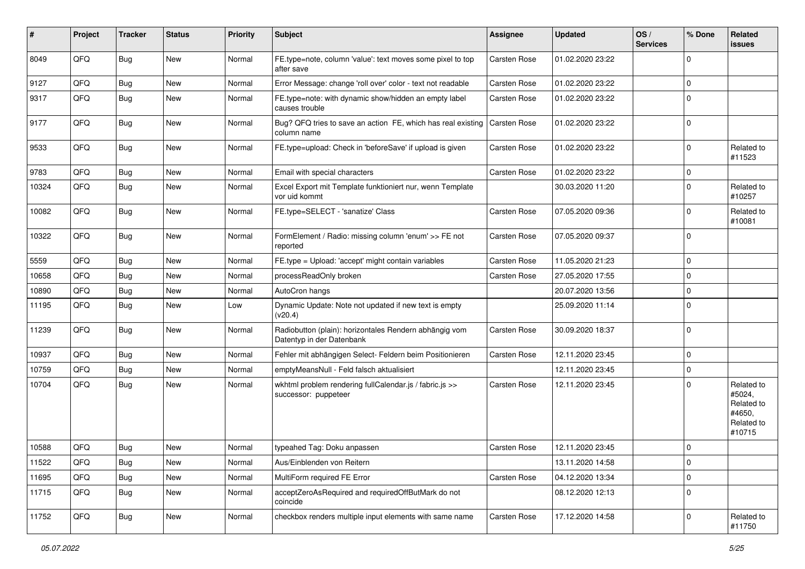| #     | Project | <b>Tracker</b> | <b>Status</b> | <b>Priority</b> | <b>Subject</b>                                                                      | Assignee            | <b>Updated</b>   | OS/<br><b>Services</b> | % Done       | Related<br>issues                                                    |
|-------|---------|----------------|---------------|-----------------|-------------------------------------------------------------------------------------|---------------------|------------------|------------------------|--------------|----------------------------------------------------------------------|
| 8049  | QFQ     | <b>Bug</b>     | New           | Normal          | FE.type=note, column 'value': text moves some pixel to top<br>after save            | Carsten Rose        | 01.02.2020 23:22 |                        | $\Omega$     |                                                                      |
| 9127  | QFQ     | <b>Bug</b>     | New           | Normal          | Error Message: change 'roll over' color - text not readable                         | Carsten Rose        | 01.02.2020 23:22 |                        | $\mathbf 0$  |                                                                      |
| 9317  | QFQ     | <b>Bug</b>     | New           | Normal          | FE.type=note: with dynamic show/hidden an empty label<br>causes trouble             | Carsten Rose        | 01.02.2020 23:22 |                        | $\Omega$     |                                                                      |
| 9177  | QFQ     | Bug            | New           | Normal          | Bug? QFQ tries to save an action FE, which has real existing<br>column name         | Carsten Rose        | 01.02.2020 23:22 |                        | l 0          |                                                                      |
| 9533  | QFQ     | <b>Bug</b>     | New           | Normal          | FE.type=upload: Check in 'beforeSave' if upload is given                            | Carsten Rose        | 01.02.2020 23:22 |                        | $\Omega$     | Related to<br>#11523                                                 |
| 9783  | QFQ     | <b>Bug</b>     | New           | Normal          | Email with special characters                                                       | Carsten Rose        | 01.02.2020 23:22 |                        | $\mathbf 0$  |                                                                      |
| 10324 | QFQ     | <b>Bug</b>     | New           | Normal          | Excel Export mit Template funktioniert nur, wenn Template<br>vor uid kommt          |                     | 30.03.2020 11:20 |                        | $\Omega$     | Related to<br>#10257                                                 |
| 10082 | QFQ     | Bug            | New           | Normal          | FE.type=SELECT - 'sanatize' Class                                                   | Carsten Rose        | 07.05.2020 09:36 |                        | $\Omega$     | Related to<br>#10081                                                 |
| 10322 | QFQ     | <b>Bug</b>     | New           | Normal          | FormElement / Radio: missing column 'enum' >> FE not<br>reported                    | Carsten Rose        | 07.05.2020 09:37 |                        | l 0          |                                                                      |
| 5559  | QFQ     | <b>Bug</b>     | New           | Normal          | FE.type = Upload: 'accept' might contain variables                                  | Carsten Rose        | 11.05.2020 21:23 |                        | l 0          |                                                                      |
| 10658 | QFQ     | <b>Bug</b>     | New           | Normal          | processReadOnly broken                                                              | <b>Carsten Rose</b> | 27.05.2020 17:55 |                        | $\mathbf 0$  |                                                                      |
| 10890 | QFQ     | <b>Bug</b>     | New           | Normal          | AutoCron hangs                                                                      |                     | 20.07.2020 13:56 |                        | $\mathbf 0$  |                                                                      |
| 11195 | QFQ     | <b>Bug</b>     | New           | Low             | Dynamic Update: Note not updated if new text is empty<br>(v20.4)                    |                     | 25.09.2020 11:14 |                        | $\Omega$     |                                                                      |
| 11239 | QFQ     | <b>Bug</b>     | New           | Normal          | Radiobutton (plain): horizontales Rendern abhängig vom<br>Datentyp in der Datenbank | Carsten Rose        | 30.09.2020 18:37 |                        | $\Omega$     |                                                                      |
| 10937 | QFQ     | <b>Bug</b>     | New           | Normal          | Fehler mit abhängigen Select- Feldern beim Positionieren                            | Carsten Rose        | 12.11.2020 23:45 |                        | $\mathbf{0}$ |                                                                      |
| 10759 | QFQ     | <b>Bug</b>     | New           | Normal          | emptyMeansNull - Feld falsch aktualisiert                                           |                     | 12.11.2020 23:45 |                        | $\mathbf 0$  |                                                                      |
| 10704 | QFQ     | Bug            | New           | Normal          | wkhtml problem rendering fullCalendar.js / fabric.js >><br>successor: puppeteer     | Carsten Rose        | 12.11.2020 23:45 |                        | $\Omega$     | Related to<br>#5024,<br>Related to<br>#4650,<br>Related to<br>#10715 |
| 10588 | QFQ     | <b>Bug</b>     | New           | Normal          | typeahed Tag: Doku anpassen                                                         | Carsten Rose        | 12.11.2020 23:45 |                        | $\Omega$     |                                                                      |
| 11522 | QFQ     | <b>Bug</b>     | New           | Normal          | Aus/Einblenden von Reitern                                                          |                     | 13.11.2020 14:58 |                        | 0            |                                                                      |
| 11695 | QFQ     | <b>Bug</b>     | New           | Normal          | MultiForm required FE Error                                                         | Carsten Rose        | 04.12.2020 13:34 |                        | $\mathbf 0$  |                                                                      |
| 11715 | QFQ     | <b>Bug</b>     | New           | Normal          | acceptZeroAsRequired and requiredOffButMark do not<br>coincide                      |                     | 08.12.2020 12:13 |                        | l 0          |                                                                      |
| 11752 | QFQ     | <b>Bug</b>     | New           | Normal          | checkbox renders multiple input elements with same name                             | Carsten Rose        | 17.12.2020 14:58 |                        | $\mathbf 0$  | Related to<br>#11750                                                 |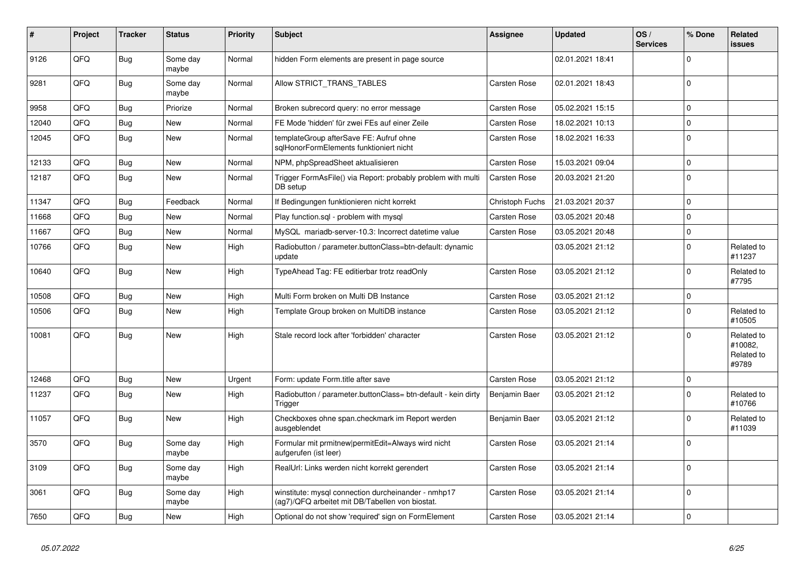| #     | Project | <b>Tracker</b> | <b>Status</b>     | <b>Priority</b> | <b>Subject</b>                                                                                         | <b>Assignee</b>     | <b>Updated</b>   | OS/<br><b>Services</b> | % Done       | Related<br>issues                            |
|-------|---------|----------------|-------------------|-----------------|--------------------------------------------------------------------------------------------------------|---------------------|------------------|------------------------|--------------|----------------------------------------------|
| 9126  | QFQ     | Bug            | Some day<br>maybe | Normal          | hidden Form elements are present in page source                                                        |                     | 02.01.2021 18:41 |                        | $\Omega$     |                                              |
| 9281  | QFQ     | Bug            | Some day<br>maybe | Normal          | Allow STRICT_TRANS_TABLES                                                                              | <b>Carsten Rose</b> | 02.01.2021 18:43 |                        | $\Omega$     |                                              |
| 9958  | QFQ     | <b>Bug</b>     | Priorize          | Normal          | Broken subrecord query: no error message                                                               | Carsten Rose        | 05.02.2021 15:15 |                        | $\Omega$     |                                              |
| 12040 | QFQ     | Bug            | <b>New</b>        | Normal          | FE Mode 'hidden' für zwei FEs auf einer Zeile                                                          | Carsten Rose        | 18.02.2021 10:13 |                        | $\mathbf 0$  |                                              |
| 12045 | QFQ     | Bug            | <b>New</b>        | Normal          | templateGroup afterSave FE: Aufruf ohne<br>sglHonorFormElements funktioniert nicht                     | Carsten Rose        | 18.02.2021 16:33 |                        | $\mathbf 0$  |                                              |
| 12133 | QFQ     | Bug            | <b>New</b>        | Normal          | NPM, phpSpreadSheet aktualisieren                                                                      | Carsten Rose        | 15.03.2021 09:04 |                        | $\Omega$     |                                              |
| 12187 | QFQ     | Bug            | <b>New</b>        | Normal          | Trigger FormAsFile() via Report: probably problem with multi<br>DB setup                               | Carsten Rose        | 20.03.2021 21:20 |                        | $\Omega$     |                                              |
| 11347 | OFQ     | <b>Bug</b>     | Feedback          | Normal          | If Bedingungen funktionieren nicht korrekt                                                             | Christoph Fuchs     | 21.03.2021 20:37 |                        | $\Omega$     |                                              |
| 11668 | QFQ     | <b>Bug</b>     | <b>New</b>        | Normal          | Play function.sql - problem with mysql                                                                 | Carsten Rose        | 03.05.2021 20:48 |                        | $\Omega$     |                                              |
| 11667 | QFQ     | Bug            | <b>New</b>        | Normal          | MySQL mariadb-server-10.3: Incorrect datetime value                                                    | Carsten Rose        | 03.05.2021 20:48 |                        | $\mathbf 0$  |                                              |
| 10766 | QFQ     | <b>Bug</b>     | New               | High            | Radiobutton / parameter.buttonClass=btn-default: dynamic<br>update                                     |                     | 03.05.2021 21:12 |                        | $\Omega$     | Related to<br>#11237                         |
| 10640 | QFQ     | <b>Bug</b>     | <b>New</b>        | High            | TypeAhead Tag: FE editierbar trotz readOnly                                                            | Carsten Rose        | 03.05.2021 21:12 |                        | $\Omega$     | Related to<br>#7795                          |
| 10508 | QFQ     | Bug            | <b>New</b>        | High            | Multi Form broken on Multi DB Instance                                                                 | Carsten Rose        | 03.05.2021 21:12 |                        | $\mathbf{0}$ |                                              |
| 10506 | QFQ     | <b>Bug</b>     | <b>New</b>        | High            | Template Group broken on MultiDB instance                                                              | Carsten Rose        | 03.05.2021 21:12 |                        | $\Omega$     | Related to<br>#10505                         |
| 10081 | QFQ     | Bug            | <b>New</b>        | High            | Stale record lock after 'forbidden' character                                                          | Carsten Rose        | 03.05.2021 21:12 |                        | $\Omega$     | Related to<br>#10082,<br>Related to<br>#9789 |
| 12468 | QFQ     | Bug            | <b>New</b>        | Urgent          | Form: update Form.title after save                                                                     | Carsten Rose        | 03.05.2021 21:12 |                        | $\mathbf 0$  |                                              |
| 11237 | QFQ     | <b>Bug</b>     | <b>New</b>        | High            | Radiobutton / parameter.buttonClass= btn-default - kein dirty<br>Trigger                               | Benjamin Baer       | 03.05.2021 21:12 |                        | $\Omega$     | Related to<br>#10766                         |
| 11057 | QFQ     | Bug            | <b>New</b>        | High            | Checkboxes ohne span.checkmark im Report werden<br>ausgeblendet                                        | Benjamin Baer       | 03.05.2021 21:12 |                        | $\Omega$     | Related to<br>#11039                         |
| 3570  | QFQ     | <b>Bug</b>     | Some day<br>maybe | High            | Formular mit prmitnew permitEdit=Always wird nicht<br>aufgerufen (ist leer)                            | Carsten Rose        | 03.05.2021 21:14 |                        | $\Omega$     |                                              |
| 3109  | QFQ     | Bug            | Some day<br>maybe | High            | RealUrl: Links werden nicht korrekt gerendert                                                          | Carsten Rose        | 03.05.2021 21:14 |                        | $\Omega$     |                                              |
| 3061  | QFQ     | <b>Bug</b>     | Some day<br>maybe | High            | winstitute: mysql connection durcheinander - nmhp17<br>(ag7)/QFQ arbeitet mit DB/Tabellen von biostat. | Carsten Rose        | 03.05.2021 21:14 |                        | $\Omega$     |                                              |
| 7650  | QFQ     | Bug            | <b>New</b>        | High            | Optional do not show 'required' sign on FormElement                                                    | Carsten Rose        | 03.05.2021 21:14 |                        | $\mathbf 0$  |                                              |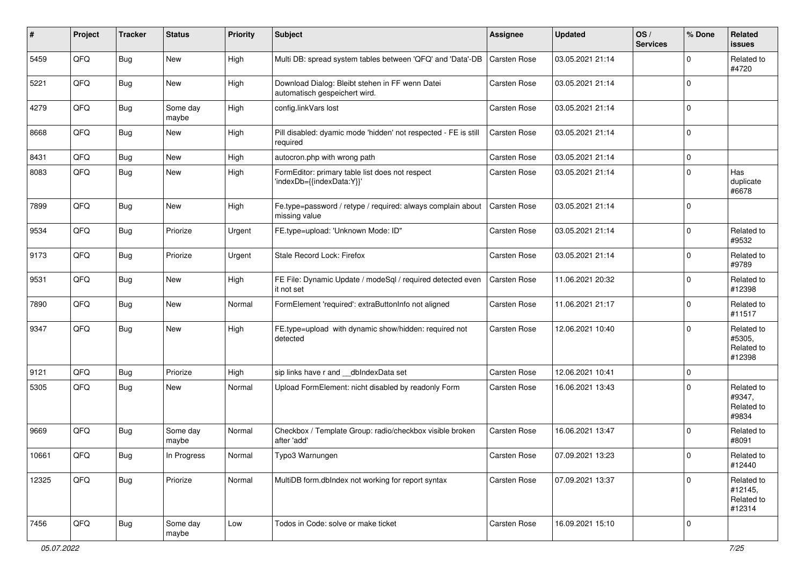| #     | Project | <b>Tracker</b> | <b>Status</b>     | <b>Priority</b> | Subject                                                                          | <b>Assignee</b>     | <b>Updated</b>   | OS/<br><b>Services</b> | % Done         | Related<br><b>issues</b>                      |
|-------|---------|----------------|-------------------|-----------------|----------------------------------------------------------------------------------|---------------------|------------------|------------------------|----------------|-----------------------------------------------|
| 5459  | QFQ     | Bug            | New               | High            | Multi DB: spread system tables between 'QFQ' and 'Data'-DB                       | <b>Carsten Rose</b> | 03.05.2021 21:14 |                        | $\Omega$       | Related to<br>#4720                           |
| 5221  | QFQ     | <b>Bug</b>     | New               | High            | Download Dialog: Bleibt stehen in FF wenn Datei<br>automatisch gespeichert wird. | Carsten Rose        | 03.05.2021 21:14 |                        | $\Omega$       |                                               |
| 4279  | QFQ     | <b>Bug</b>     | Some day<br>maybe | High            | config.linkVars lost                                                             | Carsten Rose        | 03.05.2021 21:14 |                        | $\Omega$       |                                               |
| 8668  | QFQ     | Bug            | New               | High            | Pill disabled: dyamic mode 'hidden' not respected - FE is still<br>required      | Carsten Rose        | 03.05.2021 21:14 |                        | $\Omega$       |                                               |
| 8431  | QFQ     | <b>Bug</b>     | <b>New</b>        | High            | autocron.php with wrong path                                                     | Carsten Rose        | 03.05.2021 21:14 |                        | $\mathbf 0$    |                                               |
| 8083  | QFQ     | <b>Bug</b>     | New               | High            | FormEditor: primary table list does not respect<br>'indexDb={{indexData:Y}}'     | Carsten Rose        | 03.05.2021 21:14 |                        | $\mathbf 0$    | Has<br>duplicate<br>#6678                     |
| 7899  | QFQ     | Bug            | New               | High            | Fe.type=password / retype / required: always complain about<br>missing value     | <b>Carsten Rose</b> | 03.05.2021 21:14 |                        | $\Omega$       |                                               |
| 9534  | QFQ     | Bug            | Priorize          | Urgent          | FE.type=upload: 'Unknown Mode: ID"                                               | Carsten Rose        | 03.05.2021 21:14 |                        | $\Omega$       | Related to<br>#9532                           |
| 9173  | QFQ     | Bug            | Priorize          | Urgent          | Stale Record Lock: Firefox                                                       | Carsten Rose        | 03.05.2021 21:14 |                        | $\Omega$       | Related to<br>#9789                           |
| 9531  | QFQ     | <b>Bug</b>     | New               | High            | FE File: Dynamic Update / modeSql / required detected even<br>it not set         | Carsten Rose        | 11.06.2021 20:32 |                        | $\Omega$       | Related to<br>#12398                          |
| 7890  | QFQ     | Bug            | New               | Normal          | FormElement 'required': extraButtonInfo not aligned                              | Carsten Rose        | 11.06.2021 21:17 |                        | $\Omega$       | Related to<br>#11517                          |
| 9347  | QFQ     | Bug            | New               | High            | FE.type=upload with dynamic show/hidden: required not<br>detected                | Carsten Rose        | 12.06.2021 10:40 |                        | $\Omega$       | Related to<br>#5305,<br>Related to<br>#12398  |
| 9121  | QFQ     | <b>Bug</b>     | Priorize          | High            | sip links have r and dblndexData set                                             | <b>Carsten Rose</b> | 12.06.2021 10:41 |                        | $\mathbf 0$    |                                               |
| 5305  | QFQ     | <b>Bug</b>     | New               | Normal          | Upload FormElement: nicht disabled by readonly Form                              | Carsten Rose        | 16.06.2021 13:43 |                        | $\Omega$       | Related to<br>#9347,<br>Related to<br>#9834   |
| 9669  | QFQ     | <b>Bug</b>     | Some day<br>maybe | Normal          | Checkbox / Template Group: radio/checkbox visible broken<br>after 'add'          | Carsten Rose        | 16.06.2021 13:47 |                        | $\Omega$       | Related to<br>#8091                           |
| 10661 | QFG     | <b>Bug</b>     | In Progress       | Normal          | Typo3 Warnungen                                                                  | Carsten Rose        | 07.09.2021 13:23 |                        | $\overline{0}$ | Related to<br>#12440                          |
| 12325 | QFQ     | <b>Bug</b>     | Priorize          | Normal          | MultiDB form.dblndex not working for report syntax                               | Carsten Rose        | 07.09.2021 13:37 |                        | $\Omega$       | Related to<br>#12145,<br>Related to<br>#12314 |
| 7456  | QFQ     | Bug            | Some day<br>maybe | Low             | Todos in Code: solve or make ticket                                              | Carsten Rose        | 16.09.2021 15:10 |                        | l 0            |                                               |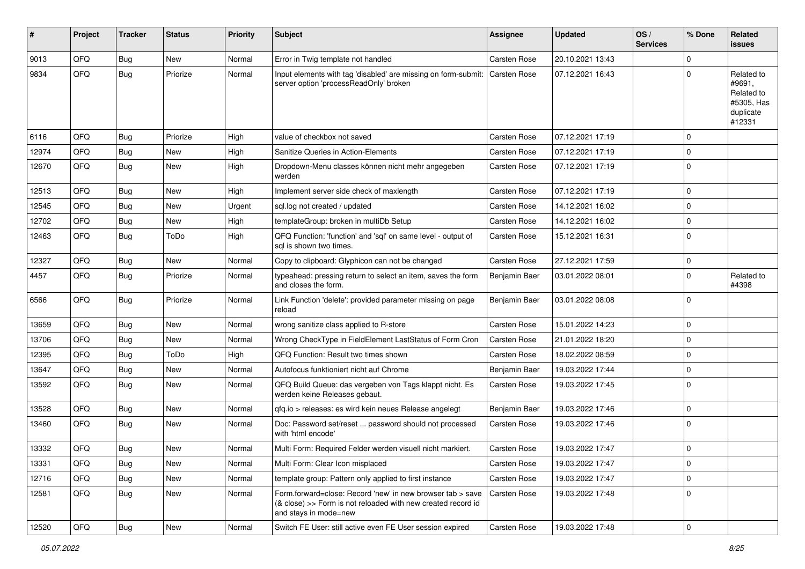| $\sharp$ | Project | <b>Tracker</b> | <b>Status</b> | <b>Priority</b> | <b>Subject</b>                                                                                                                                      | Assignee            | <b>Updated</b>   | OS/<br><b>Services</b> | % Done      | <b>Related</b><br>issues                                                |
|----------|---------|----------------|---------------|-----------------|-----------------------------------------------------------------------------------------------------------------------------------------------------|---------------------|------------------|------------------------|-------------|-------------------------------------------------------------------------|
| 9013     | QFQ     | <b>Bug</b>     | <b>New</b>    | Normal          | Error in Twig template not handled                                                                                                                  | <b>Carsten Rose</b> | 20.10.2021 13:43 |                        | $\Omega$    |                                                                         |
| 9834     | QFQ     | Bug            | Priorize      | Normal          | Input elements with tag 'disabled' are missing on form-submit:<br>server option 'processReadOnly' broken                                            | Carsten Rose        | 07.12.2021 16:43 |                        | $\Omega$    | Related to<br>#9691,<br>Related to<br>#5305, Has<br>duplicate<br>#12331 |
| 6116     | QFQ     | Bug            | Priorize      | High            | value of checkbox not saved                                                                                                                         | <b>Carsten Rose</b> | 07.12.2021 17:19 |                        | $\Omega$    |                                                                         |
| 12974    | QFQ     | <b>Bug</b>     | New           | High            | Sanitize Queries in Action-Elements                                                                                                                 | Carsten Rose        | 07.12.2021 17:19 |                        | 0           |                                                                         |
| 12670    | QFQ     | <b>Bug</b>     | New           | High            | Dropdown-Menu classes können nicht mehr angegeben<br>werden                                                                                         | Carsten Rose        | 07.12.2021 17:19 |                        | $\mathbf 0$ |                                                                         |
| 12513    | QFQ     | <b>Bug</b>     | New           | High            | Implement server side check of maxlength                                                                                                            | Carsten Rose        | 07.12.2021 17:19 |                        | $\mathbf 0$ |                                                                         |
| 12545    | QFQ     | <b>Bug</b>     | New           | Urgent          | sql.log not created / updated                                                                                                                       | Carsten Rose        | 14.12.2021 16:02 |                        | $\Omega$    |                                                                         |
| 12702    | QFQ     | <b>Bug</b>     | New           | High            | templateGroup: broken in multiDb Setup                                                                                                              | Carsten Rose        | 14.12.2021 16:02 |                        | $\mathbf 0$ |                                                                         |
| 12463    | QFQ     | Bug            | ToDo          | High            | QFQ Function: 'function' and 'sql' on same level - output of<br>sal is shown two times.                                                             | Carsten Rose        | 15.12.2021 16:31 |                        | $\Omega$    |                                                                         |
| 12327    | QFQ     | <b>Bug</b>     | New           | Normal          | Copy to clipboard: Glyphicon can not be changed                                                                                                     | Carsten Rose        | 27.12.2021 17:59 |                        | $\mathbf 0$ |                                                                         |
| 4457     | QFQ     | Bug            | Priorize      | Normal          | typeahead: pressing return to select an item, saves the form<br>and closes the form.                                                                | Benjamin Baer       | 03.01.2022 08:01 |                        | $\mathbf 0$ | Related to<br>#4398                                                     |
| 6566     | QFQ     | Bug            | Priorize      | Normal          | Link Function 'delete': provided parameter missing on page<br>reload                                                                                | Benjamin Baer       | 03.01.2022 08:08 |                        | $\mathbf 0$ |                                                                         |
| 13659    | QFQ     | <b>Bug</b>     | New           | Normal          | wrong sanitize class applied to R-store                                                                                                             | Carsten Rose        | 15.01.2022 14:23 |                        | $\mathbf 0$ |                                                                         |
| 13706    | QFQ     | Bug            | New           | Normal          | Wrong CheckType in FieldElement LastStatus of Form Cron                                                                                             | Carsten Rose        | 21.01.2022 18:20 |                        | $\Omega$    |                                                                         |
| 12395    | QFQ     | <b>Bug</b>     | ToDo          | High            | QFQ Function: Result two times shown                                                                                                                | Carsten Rose        | 18.02.2022 08:59 |                        | 0           |                                                                         |
| 13647    | QFQ     | <b>Bug</b>     | New           | Normal          | Autofocus funktioniert nicht auf Chrome                                                                                                             | Benjamin Baer       | 19.03.2022 17:44 |                        | $\mathbf 0$ |                                                                         |
| 13592    | QFQ     | <b>Bug</b>     | New           | Normal          | QFQ Build Queue: das vergeben von Tags klappt nicht. Es<br>werden keine Releases gebaut.                                                            | Carsten Rose        | 19.03.2022 17:45 |                        | $\Omega$    |                                                                         |
| 13528    | QFQ     | <b>Bug</b>     | New           | Normal          | qfq.io > releases: es wird kein neues Release angelegt                                                                                              | Benjamin Baer       | 19.03.2022 17:46 |                        | $\mathbf 0$ |                                                                         |
| 13460    | QFQ     | Bug            | New           | Normal          | Doc: Password set/reset  password should not processed<br>with 'html encode'                                                                        | Carsten Rose        | 19.03.2022 17:46 |                        | $\Omega$    |                                                                         |
| 13332    | QFQ     | <b>Bug</b>     | New           | Normal          | Multi Form: Required Felder werden visuell nicht markiert.                                                                                          | Carsten Rose        | 19.03.2022 17:47 |                        | $\Omega$    |                                                                         |
| 13331    | QFQ     | <b>Bug</b>     | New           | Normal          | Multi Form: Clear Icon misplaced                                                                                                                    | Carsten Rose        | 19.03.2022 17:47 |                        | $\mathbf 0$ |                                                                         |
| 12716    | QFQ     | Bug            | New           | Normal          | template group: Pattern only applied to first instance                                                                                              | Carsten Rose        | 19.03.2022 17:47 |                        | $\mathbf 0$ |                                                                         |
| 12581    | QFQ     | <b>Bug</b>     | New           | Normal          | Form.forward=close: Record 'new' in new browser tab > save<br>(& close) >> Form is not reloaded with new created record id<br>and stays in mode=new | Carsten Rose        | 19.03.2022 17:48 |                        | $\mathbf 0$ |                                                                         |
| 12520    | QFQ     | <b>Bug</b>     | New           | Normal          | Switch FE User: still active even FE User session expired                                                                                           | Carsten Rose        | 19.03.2022 17:48 |                        | 0           |                                                                         |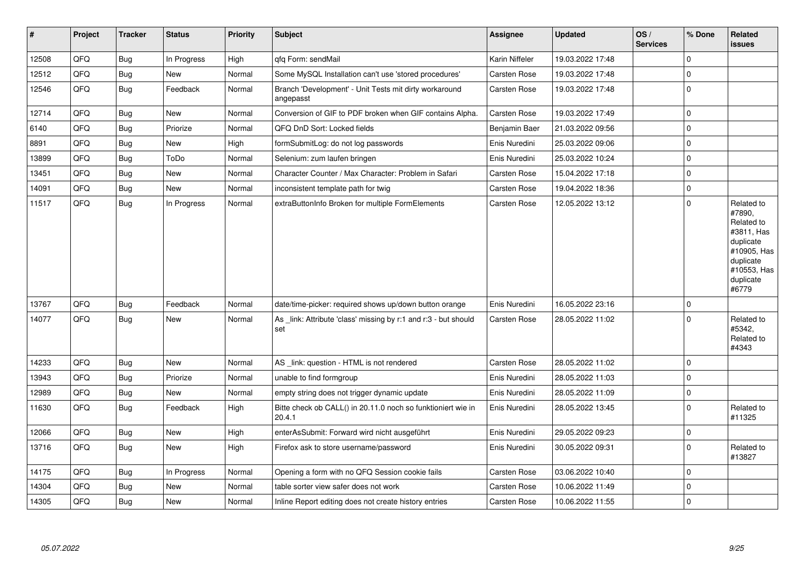| $\vert$ # | Project | <b>Tracker</b> | <b>Status</b> | Priority | <b>Subject</b>                                                         | Assignee            | <b>Updated</b>   | OS/<br><b>Services</b> | % Done      | Related<br><b>issues</b>                                                                                                       |
|-----------|---------|----------------|---------------|----------|------------------------------------------------------------------------|---------------------|------------------|------------------------|-------------|--------------------------------------------------------------------------------------------------------------------------------|
| 12508     | QFQ     | Bug            | In Progress   | High     | gfg Form: sendMail                                                     | Karin Niffeler      | 19.03.2022 17:48 |                        | $\Omega$    |                                                                                                                                |
| 12512     | QFQ     | <b>Bug</b>     | <b>New</b>    | Normal   | Some MySQL Installation can't use 'stored procedures'                  | Carsten Rose        | 19.03.2022 17:48 |                        | $\mathbf 0$ |                                                                                                                                |
| 12546     | QFQ     | <b>Bug</b>     | Feedback      | Normal   | Branch 'Development' - Unit Tests mit dirty workaround<br>angepasst    | Carsten Rose        | 19.03.2022 17:48 |                        | $\mathbf 0$ |                                                                                                                                |
| 12714     | QFQ     | Bug            | <b>New</b>    | Normal   | Conversion of GIF to PDF broken when GIF contains Alpha.               | <b>Carsten Rose</b> | 19.03.2022 17:49 |                        | $\Omega$    |                                                                                                                                |
| 6140      | QFQ     | <b>Bug</b>     | Priorize      | Normal   | QFQ DnD Sort: Locked fields                                            | Benjamin Baer       | 21.03.2022 09:56 |                        | $\Omega$    |                                                                                                                                |
| 8891      | QFQ     | <b>Bug</b>     | <b>New</b>    | High     | formSubmitLog: do not log passwords                                    | Enis Nuredini       | 25.03.2022 09:06 |                        | $\Omega$    |                                                                                                                                |
| 13899     | QFQ     | <b>Bug</b>     | ToDo          | Normal   | Selenium: zum laufen bringen                                           | Enis Nuredini       | 25.03.2022 10:24 |                        | $\mathbf 0$ |                                                                                                                                |
| 13451     | QFQ     | <b>Bug</b>     | <b>New</b>    | Normal   | Character Counter / Max Character: Problem in Safari                   | Carsten Rose        | 15.04.2022 17:18 |                        | $\Omega$    |                                                                                                                                |
| 14091     | QFQ     | <b>Bug</b>     | <b>New</b>    | Normal   | inconsistent template path for twig                                    | Carsten Rose        | 19.04.2022 18:36 |                        | $\Omega$    |                                                                                                                                |
| 11517     | QFQ     | <b>Bug</b>     | In Progress   | Normal   | extraButtonInfo Broken for multiple FormElements                       | Carsten Rose        | 12.05.2022 13:12 |                        | $\Omega$    | Related to<br>#7890,<br>Related to<br>#3811, Has<br>duplicate<br>#10905, Has<br>duplicate<br>#10553, Has<br>duplicate<br>#6779 |
| 13767     | QFQ     | <b>Bug</b>     | Feedback      | Normal   | date/time-picker: required shows up/down button orange                 | Enis Nuredini       | 16.05.2022 23:16 |                        | $\mathbf 0$ |                                                                                                                                |
| 14077     | QFQ     | <b>Bug</b>     | <b>New</b>    | Normal   | As _link: Attribute 'class' missing by r:1 and r:3 - but should<br>set | Carsten Rose        | 28.05.2022 11:02 |                        | $\Omega$    | Related to<br>#5342,<br>Related to<br>#4343                                                                                    |
| 14233     | QFQ     | <b>Bug</b>     | <b>New</b>    | Normal   | AS _link: question - HTML is not rendered                              | Carsten Rose        | 28.05.2022 11:02 |                        | $\mathbf 0$ |                                                                                                                                |
| 13943     | QFQ     | <b>Bug</b>     | Priorize      | Normal   | unable to find formgroup                                               | Enis Nuredini       | 28.05.2022 11:03 |                        | $\Omega$    |                                                                                                                                |
| 12989     | QFQ     | <b>Bug</b>     | <b>New</b>    | Normal   | empty string does not trigger dynamic update                           | Enis Nuredini       | 28.05.2022 11:09 |                        | $\mathbf 0$ |                                                                                                                                |
| 11630     | QFQ     | <b>Bug</b>     | Feedback      | High     | Bitte check ob CALL() in 20.11.0 noch so funktioniert wie in<br>20.4.1 | Enis Nuredini       | 28.05.2022 13:45 |                        | $\Omega$    | Related to<br>#11325                                                                                                           |
| 12066     | QFQ     | <b>Bug</b>     | <b>New</b>    | High     | enterAsSubmit: Forward wird nicht ausgeführt                           | Enis Nuredini       | 29.05.2022 09:23 |                        | $\mathbf 0$ |                                                                                                                                |
| 13716     | QFQ     | <b>Bug</b>     | <b>New</b>    | High     | Firefox ask to store username/password                                 | Enis Nuredini       | 30.05.2022 09:31 |                        | $\Omega$    | Related to<br>#13827                                                                                                           |
| 14175     | QFQ     | <b>Bug</b>     | In Progress   | Normal   | Opening a form with no QFQ Session cookie fails                        | Carsten Rose        | 03.06.2022 10:40 |                        | $\Omega$    |                                                                                                                                |
| 14304     | QFQ     | Bug            | <b>New</b>    | Normal   | table sorter view safer does not work                                  | Carsten Rose        | 10.06.2022 11:49 |                        | $\mathbf 0$ |                                                                                                                                |
| 14305     | QFQ     | Bug            | <b>New</b>    | Normal   | Inline Report editing does not create history entries                  | <b>Carsten Rose</b> | 10.06.2022 11:55 |                        | 0           |                                                                                                                                |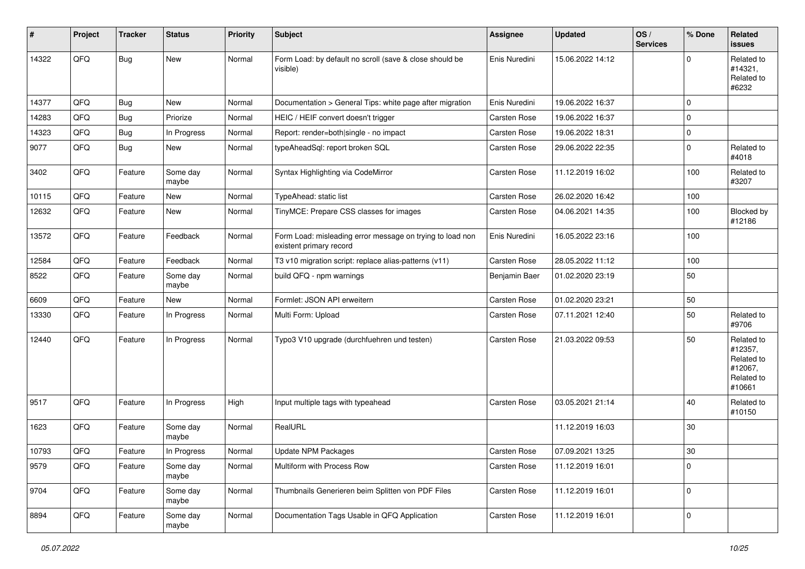| #     | Project | <b>Tracker</b> | <b>Status</b>     | <b>Priority</b> | <b>Subject</b>                                                                       | Assignee            | <b>Updated</b>   | OS/<br><b>Services</b> | % Done      | Related<br><b>issues</b>                                               |
|-------|---------|----------------|-------------------|-----------------|--------------------------------------------------------------------------------------|---------------------|------------------|------------------------|-------------|------------------------------------------------------------------------|
| 14322 | QFQ     | <b>Bug</b>     | <b>New</b>        | Normal          | Form Load: by default no scroll (save & close should be<br>visible)                  | Enis Nuredini       | 15.06.2022 14:12 |                        | $\Omega$    | Related to<br>#14321,<br>Related to<br>#6232                           |
| 14377 | QFQ     | Bug            | <b>New</b>        | Normal          | Documentation > General Tips: white page after migration                             | Enis Nuredini       | 19.06.2022 16:37 |                        | $\Omega$    |                                                                        |
| 14283 | QFQ     | Bug            | Priorize          | Normal          | HEIC / HEIF convert doesn't trigger                                                  | Carsten Rose        | 19.06.2022 16:37 |                        | $\mathbf 0$ |                                                                        |
| 14323 | QFQ     | <b>Bug</b>     | In Progress       | Normal          | Report: render=both single - no impact                                               | Carsten Rose        | 19.06.2022 18:31 |                        | $\mathbf 0$ |                                                                        |
| 9077  | QFQ     | <b>Bug</b>     | New               | Normal          | typeAheadSql: report broken SQL                                                      | Carsten Rose        | 29.06.2022 22:35 |                        | 0           | Related to<br>#4018                                                    |
| 3402  | QFQ     | Feature        | Some day<br>maybe | Normal          | Syntax Highlighting via CodeMirror                                                   | Carsten Rose        | 11.12.2019 16:02 |                        | 100         | Related to<br>#3207                                                    |
| 10115 | QFQ     | Feature        | New               | Normal          | TypeAhead: static list                                                               | <b>Carsten Rose</b> | 26.02.2020 16:42 |                        | 100         |                                                                        |
| 12632 | QFQ     | Feature        | New               | Normal          | TinyMCE: Prepare CSS classes for images                                              | Carsten Rose        | 04.06.2021 14:35 |                        | 100         | Blocked by<br>#12186                                                   |
| 13572 | QFQ     | Feature        | Feedback          | Normal          | Form Load: misleading error message on trying to load non<br>existent primary record | Enis Nuredini       | 16.05.2022 23:16 |                        | 100         |                                                                        |
| 12584 | QFQ     | Feature        | Feedback          | Normal          | T3 v10 migration script: replace alias-patterns (v11)                                | Carsten Rose        | 28.05.2022 11:12 |                        | 100         |                                                                        |
| 8522  | QFQ     | Feature        | Some day<br>maybe | Normal          | build QFQ - npm warnings                                                             | Benjamin Baer       | 01.02.2020 23:19 |                        | 50          |                                                                        |
| 6609  | QFQ     | Feature        | <b>New</b>        | Normal          | Formlet: JSON API erweitern                                                          | <b>Carsten Rose</b> | 01.02.2020 23:21 |                        | 50          |                                                                        |
| 13330 | QFQ     | Feature        | In Progress       | Normal          | Multi Form: Upload                                                                   | Carsten Rose        | 07.11.2021 12:40 |                        | 50          | Related to<br>#9706                                                    |
| 12440 | QFQ     | Feature        | In Progress       | Normal          | Typo3 V10 upgrade (durchfuehren und testen)                                          | Carsten Rose        | 21.03.2022 09:53 |                        | 50          | Related to<br>#12357,<br>Related to<br>#12067,<br>Related to<br>#10661 |
| 9517  | QFQ     | Feature        | In Progress       | High            | Input multiple tags with typeahead                                                   | <b>Carsten Rose</b> | 03.05.2021 21:14 |                        | 40          | Related to<br>#10150                                                   |
| 1623  | QFQ     | Feature        | Some day<br>maybe | Normal          | RealURL                                                                              |                     | 11.12.2019 16:03 |                        | 30          |                                                                        |
| 10793 | QFQ     | Feature        | In Progress       | Normal          | <b>Update NPM Packages</b>                                                           | <b>Carsten Rose</b> | 07.09.2021 13:25 |                        | 30          |                                                                        |
| 9579  | QFQ     | Feature        | Some day<br>maybe | Normal          | Multiform with Process Row                                                           | Carsten Rose        | 11.12.2019 16:01 |                        | $\mathbf 0$ |                                                                        |
| 9704  | QFQ     | Feature        | Some day<br>maybe | Normal          | Thumbnails Generieren beim Splitten von PDF Files                                    | Carsten Rose        | 11.12.2019 16:01 |                        | $\mathbf 0$ |                                                                        |
| 8894  | QFQ     | Feature        | Some day<br>maybe | Normal          | Documentation Tags Usable in QFQ Application                                         | Carsten Rose        | 11.12.2019 16:01 |                        | 0           |                                                                        |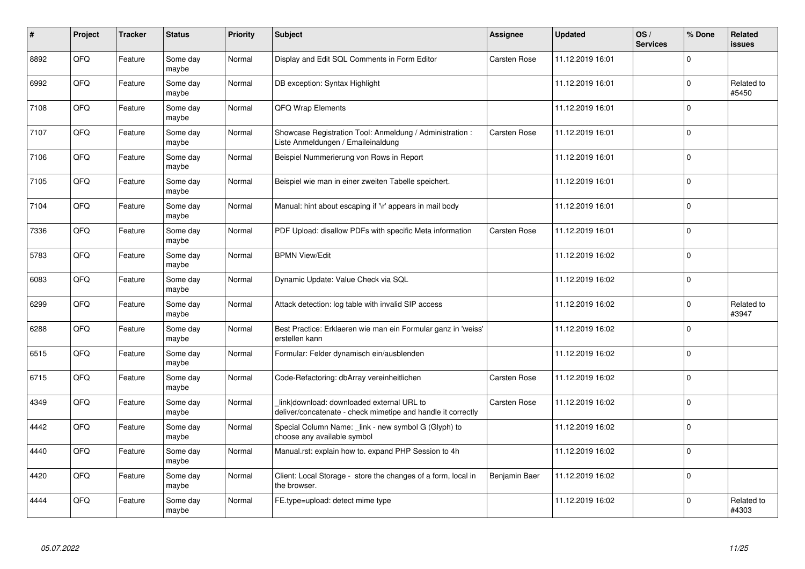| #    | Project | <b>Tracker</b> | <b>Status</b>     | <b>Priority</b> | <b>Subject</b>                                                                                            | Assignee      | <b>Updated</b>   | OS/<br><b>Services</b> | % Done      | Related<br>issues   |
|------|---------|----------------|-------------------|-----------------|-----------------------------------------------------------------------------------------------------------|---------------|------------------|------------------------|-------------|---------------------|
| 8892 | QFQ     | Feature        | Some day<br>maybe | Normal          | Display and Edit SQL Comments in Form Editor                                                              | Carsten Rose  | 11.12.2019 16:01 |                        | $\Omega$    |                     |
| 6992 | QFQ     | Feature        | Some day<br>maybe | Normal          | DB exception: Syntax Highlight                                                                            |               | 11.12.2019 16:01 |                        | $\mathbf 0$ | Related to<br>#5450 |
| 7108 | QFQ     | Feature        | Some day<br>maybe | Normal          | QFQ Wrap Elements                                                                                         |               | 11.12.2019 16:01 |                        | $\mathbf 0$ |                     |
| 7107 | QFQ     | Feature        | Some day<br>maybe | Normal          | Showcase Registration Tool: Anmeldung / Administration :<br>Liste Anmeldungen / Emaileinaldung            | Carsten Rose  | 11.12.2019 16:01 |                        | $\Omega$    |                     |
| 7106 | QFQ     | Feature        | Some day<br>maybe | Normal          | Beispiel Nummerierung von Rows in Report                                                                  |               | 11.12.2019 16:01 |                        | $\mathbf 0$ |                     |
| 7105 | QFQ     | Feature        | Some day<br>maybe | Normal          | Beispiel wie man in einer zweiten Tabelle speichert.                                                      |               | 11.12.2019 16:01 |                        | $\mathbf 0$ |                     |
| 7104 | QFQ     | Feature        | Some day<br>maybe | Normal          | Manual: hint about escaping if '\r' appears in mail body                                                  |               | 11.12.2019 16:01 |                        | $\Omega$    |                     |
| 7336 | QFQ     | Feature        | Some day<br>maybe | Normal          | PDF Upload: disallow PDFs with specific Meta information                                                  | Carsten Rose  | 11.12.2019 16:01 |                        | $\Omega$    |                     |
| 5783 | QFQ     | Feature        | Some day<br>maybe | Normal          | <b>BPMN View/Edit</b>                                                                                     |               | 11.12.2019 16:02 |                        | $\mathbf 0$ |                     |
| 6083 | QFQ     | Feature        | Some day<br>maybe | Normal          | Dynamic Update: Value Check via SQL                                                                       |               | 11.12.2019 16:02 |                        | 0           |                     |
| 6299 | QFQ     | Feature        | Some day<br>maybe | Normal          | Attack detection: log table with invalid SIP access                                                       |               | 11.12.2019 16:02 |                        | $\Omega$    | Related to<br>#3947 |
| 6288 | QFQ     | Feature        | Some day<br>maybe | Normal          | Best Practice: Erklaeren wie man ein Formular ganz in 'weiss'<br>erstellen kann                           |               | 11.12.2019 16:02 |                        | $\mathbf 0$ |                     |
| 6515 | QFQ     | Feature        | Some day<br>maybe | Normal          | Formular: Felder dynamisch ein/ausblenden                                                                 |               | 11.12.2019 16:02 |                        | $\mathbf 0$ |                     |
| 6715 | QFQ     | Feature        | Some day<br>maybe | Normal          | Code-Refactoring: dbArray vereinheitlichen                                                                | Carsten Rose  | 11.12.2019 16:02 |                        | $\Omega$    |                     |
| 4349 | QFQ     | Feature        | Some day<br>maybe | Normal          | link download: downloaded external URL to<br>deliver/concatenate - check mimetipe and handle it correctly | Carsten Rose  | 11.12.2019 16:02 |                        | $\Omega$    |                     |
| 4442 | QFQ     | Feature        | Some day<br>maybe | Normal          | Special Column Name: link - new symbol G (Glyph) to<br>choose any available symbol                        |               | 11.12.2019 16:02 |                        | $\Omega$    |                     |
| 4440 | QFQ     | Feature        | Some day<br>maybe | Normal          | Manual.rst: explain how to. expand PHP Session to 4h                                                      |               | 11.12.2019 16:02 |                        | $\mathbf 0$ |                     |
| 4420 | QFQ     | Feature        | Some day<br>maybe | Normal          | Client: Local Storage - store the changes of a form, local in<br>the browser.                             | Benjamin Baer | 11.12.2019 16:02 |                        | $\Omega$    |                     |
| 4444 | QFQ     | Feature        | Some day<br>maybe | Normal          | FE.type=upload: detect mime type                                                                          |               | 11.12.2019 16:02 |                        | $\Omega$    | Related to<br>#4303 |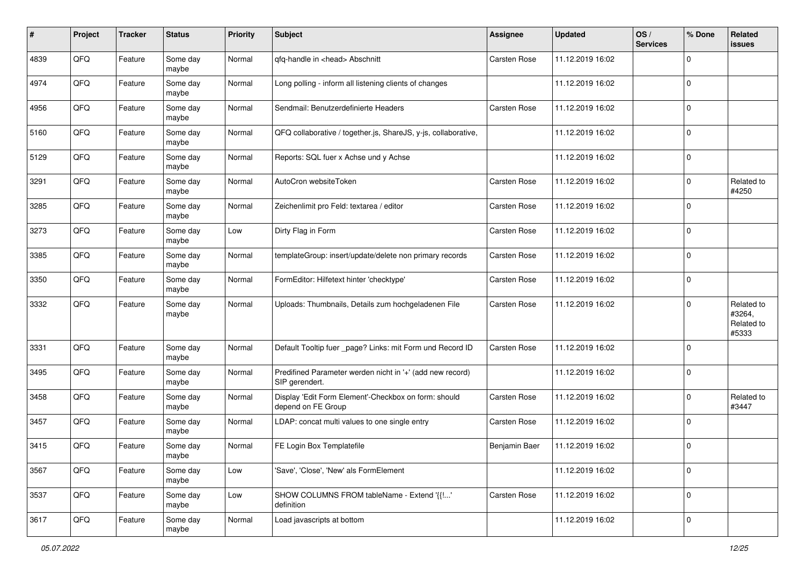| #    | Project | <b>Tracker</b> | <b>Status</b>     | <b>Priority</b> | Subject                                                                     | <b>Assignee</b>     | <b>Updated</b>   | OS/<br><b>Services</b> | % Done              | Related<br>issues                           |
|------|---------|----------------|-------------------|-----------------|-----------------------------------------------------------------------------|---------------------|------------------|------------------------|---------------------|---------------------------------------------|
| 4839 | QFQ     | Feature        | Some day<br>maybe | Normal          | qfq-handle in <head> Abschnitt</head>                                       | <b>Carsten Rose</b> | 11.12.2019 16:02 |                        | $\mathbf 0$         |                                             |
| 4974 | QFQ     | Feature        | Some day<br>maybe | Normal          | Long polling - inform all listening clients of changes                      |                     | 11.12.2019 16:02 |                        | 0                   |                                             |
| 4956 | QFQ     | Feature        | Some day<br>maybe | Normal          | Sendmail: Benutzerdefinierte Headers                                        | Carsten Rose        | 11.12.2019 16:02 |                        | $\mathbf 0$         |                                             |
| 5160 | QFQ     | Feature        | Some day<br>maybe | Normal          | QFQ collaborative / together.js, ShareJS, y-js, collaborative,              |                     | 11.12.2019 16:02 |                        | $\mathbf 0$         |                                             |
| 5129 | QFQ     | Feature        | Some day<br>maybe | Normal          | Reports: SQL fuer x Achse und y Achse                                       |                     | 11.12.2019 16:02 |                        | $\mathbf 0$         |                                             |
| 3291 | QFQ     | Feature        | Some day<br>maybe | Normal          | AutoCron websiteToken                                                       | <b>Carsten Rose</b> | 11.12.2019 16:02 |                        | $\mathbf 0$         | Related to<br>#4250                         |
| 3285 | QFQ     | Feature        | Some day<br>maybe | Normal          | Zeichenlimit pro Feld: textarea / editor                                    | <b>Carsten Rose</b> | 11.12.2019 16:02 |                        | $\mathbf 0$         |                                             |
| 3273 | QFQ     | Feature        | Some day<br>maybe | Low             | Dirty Flag in Form                                                          | <b>Carsten Rose</b> | 11.12.2019 16:02 |                        | 0                   |                                             |
| 3385 | QFQ     | Feature        | Some day<br>maybe | Normal          | templateGroup: insert/update/delete non primary records                     | Carsten Rose        | 11.12.2019 16:02 |                        | $\mathbf 0$         |                                             |
| 3350 | QFQ     | Feature        | Some day<br>maybe | Normal          | FormEditor: Hilfetext hinter 'checktype'                                    | Carsten Rose        | 11.12.2019 16:02 |                        | $\mathbf 0$         |                                             |
| 3332 | QFQ     | Feature        | Some day<br>maybe | Normal          | Uploads: Thumbnails, Details zum hochgeladenen File                         | Carsten Rose        | 11.12.2019 16:02 |                        | $\mathbf 0$         | Related to<br>#3264,<br>Related to<br>#5333 |
| 3331 | QFQ     | Feature        | Some day<br>maybe | Normal          | Default Tooltip fuer _page? Links: mit Form und Record ID                   | Carsten Rose        | 11.12.2019 16:02 |                        | $\mathbf 0$         |                                             |
| 3495 | QFQ     | Feature        | Some day<br>maybe | Normal          | Predifined Parameter werden nicht in '+' (add new record)<br>SIP gerendert. |                     | 11.12.2019 16:02 |                        | $\mathbf 0$         |                                             |
| 3458 | QFQ     | Feature        | Some day<br>maybe | Normal          | Display 'Edit Form Element'-Checkbox on form: should<br>depend on FE Group  | Carsten Rose        | 11.12.2019 16:02 |                        | $\mathbf 0$         | Related to<br>#3447                         |
| 3457 | QFQ     | Feature        | Some day<br>maybe | Normal          | LDAP: concat multi values to one single entry                               | Carsten Rose        | 11.12.2019 16:02 |                        | $\mathbf 0$         |                                             |
| 3415 | QFQ     | Feature        | Some day<br>maybe | Normal          | FE Login Box Templatefile                                                   | Benjamin Baer       | 11.12.2019 16:02 |                        | $\mathbf 0$         |                                             |
| 3567 | QFQ     | Feature        | Some day<br>maybe | Low             | 'Save', 'Close', 'New' als FormElement                                      |                     | 11.12.2019 16:02 |                        | $\mathbf 0$         |                                             |
| 3537 | QFQ     | Feature        | Some day<br>maybe | Low             | SHOW COLUMNS FROM tableName - Extend '{{!'<br>definition                    | Carsten Rose        | 11.12.2019 16:02 |                        | $\mathsf{O}\xspace$ |                                             |
| 3617 | QFQ     | Feature        | Some day<br>maybe | Normal          | Load javascripts at bottom                                                  |                     | 11.12.2019 16:02 |                        | $\mathsf{O}\xspace$ |                                             |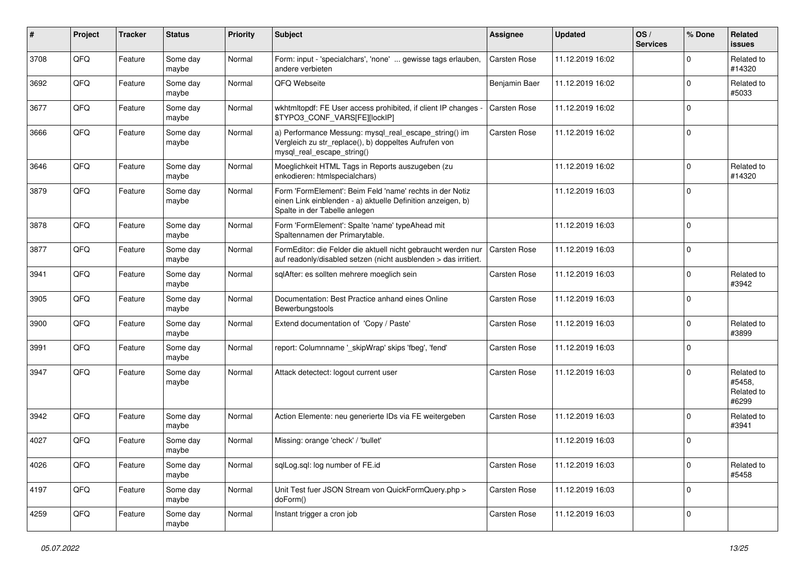| #    | Project | <b>Tracker</b> | <b>Status</b>     | <b>Priority</b> | <b>Subject</b>                                                                                                                                           | <b>Assignee</b> | <b>Updated</b>   | OS/<br><b>Services</b> | % Done       | Related<br>issues                           |
|------|---------|----------------|-------------------|-----------------|----------------------------------------------------------------------------------------------------------------------------------------------------------|-----------------|------------------|------------------------|--------------|---------------------------------------------|
| 3708 | QFQ     | Feature        | Some day<br>maybe | Normal          | Form: input - 'specialchars', 'none'  gewisse tags erlauben,<br>andere verbieten                                                                         | Carsten Rose    | 11.12.2019 16:02 |                        | <sup>0</sup> | Related to<br>#14320                        |
| 3692 | QFQ     | Feature        | Some day<br>maybe | Normal          | QFQ Webseite                                                                                                                                             | Benjamin Baer   | 11.12.2019 16:02 |                        | $\Omega$     | Related to<br>#5033                         |
| 3677 | QFQ     | Feature        | Some day<br>maybe | Normal          | wkhtmltopdf: FE User access prohibited, if client IP changes -<br>\$TYPO3_CONF_VARS[FE][lockIP]                                                          | Carsten Rose    | 11.12.2019 16:02 |                        | 0            |                                             |
| 3666 | QFQ     | Feature        | Some day<br>maybe | Normal          | a) Performance Messung: mysql_real_escape_string() im<br>Vergleich zu str_replace(), b) doppeltes Aufrufen von<br>mysql_real_escape_string()             | Carsten Rose    | 11.12.2019 16:02 |                        | $\Omega$     |                                             |
| 3646 | QFQ     | Feature        | Some day<br>maybe | Normal          | Moeglichkeit HTML Tags in Reports auszugeben (zu<br>enkodieren: htmlspecialchars)                                                                        |                 | 11.12.2019 16:02 |                        | 0            | Related to<br>#14320                        |
| 3879 | QFQ     | Feature        | Some day<br>maybe | Normal          | Form 'FormElement': Beim Feld 'name' rechts in der Notiz<br>einen Link einblenden - a) aktuelle Definition anzeigen, b)<br>Spalte in der Tabelle anlegen |                 | 11.12.2019 16:03 |                        | $\Omega$     |                                             |
| 3878 | QFQ     | Feature        | Some day<br>maybe | Normal          | Form 'FormElement': Spalte 'name' typeAhead mit<br>Spaltennamen der Primarytable.                                                                        |                 | 11.12.2019 16:03 |                        | $\mathbf 0$  |                                             |
| 3877 | QFQ     | Feature        | Some day<br>maybe | Normal          | FormEditor: die Felder die aktuell nicht gebraucht werden nur<br>auf readonly/disabled setzen (nicht ausblenden > das irritiert.                         | Carsten Rose    | 11.12.2019 16:03 |                        | $\Omega$     |                                             |
| 3941 | QFQ     | Feature        | Some day<br>maybe | Normal          | sqlAfter: es sollten mehrere moeglich sein                                                                                                               | Carsten Rose    | 11.12.2019 16:03 |                        | $\Omega$     | Related to<br>#3942                         |
| 3905 | QFQ     | Feature        | Some day<br>maybe | Normal          | Documentation: Best Practice anhand eines Online<br>Bewerbungstools                                                                                      | Carsten Rose    | 11.12.2019 16:03 |                        | 0            |                                             |
| 3900 | QFQ     | Feature        | Some day<br>maybe | Normal          | Extend documentation of 'Copy / Paste'                                                                                                                   | Carsten Rose    | 11.12.2019 16:03 |                        | $\Omega$     | Related to<br>#3899                         |
| 3991 | QFQ     | Feature        | Some day<br>maybe | Normal          | report: Columnname '_skipWrap' skips 'fbeg', 'fend'                                                                                                      | Carsten Rose    | 11.12.2019 16:03 |                        | $\Omega$     |                                             |
| 3947 | QFQ     | Feature        | Some day<br>maybe | Normal          | Attack detectect: logout current user                                                                                                                    | Carsten Rose    | 11.12.2019 16:03 |                        | $\Omega$     | Related to<br>#5458,<br>Related to<br>#6299 |
| 3942 | QFQ     | Feature        | Some day<br>maybe | Normal          | Action Elemente: neu generierte IDs via FE weitergeben                                                                                                   | Carsten Rose    | 11.12.2019 16:03 |                        | $\Omega$     | Related to<br>#3941                         |
| 4027 | QFQ     | Feature        | Some day<br>maybe | Normal          | Missing: orange 'check' / 'bullet'                                                                                                                       |                 | 11.12.2019 16:03 |                        | $\Omega$     |                                             |
| 4026 | QFQ     | Feature        | Some day<br>maybe | Normal          | sqlLog.sql: log number of FE.id                                                                                                                          | Carsten Rose    | 11.12.2019 16:03 |                        | $\mathbf 0$  | Related to<br>#5458                         |
| 4197 | QFQ     | Feature        | Some day<br>maybe | Normal          | Unit Test fuer JSON Stream von QuickFormQuery.php ><br>doForm()                                                                                          | Carsten Rose    | 11.12.2019 16:03 |                        | $\mathbf 0$  |                                             |
| 4259 | QFQ     | Feature        | Some day<br>maybe | Normal          | Instant trigger a cron job                                                                                                                               | Carsten Rose    | 11.12.2019 16:03 |                        | 0            |                                             |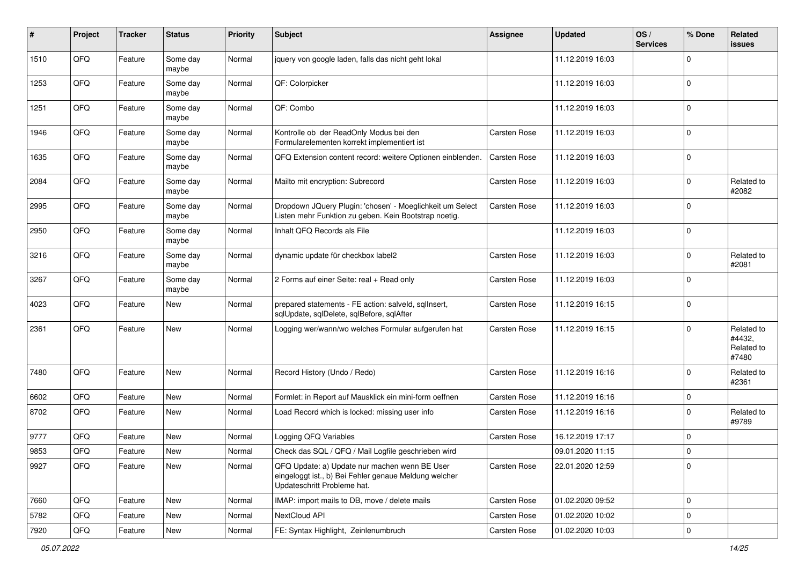| #    | Project | <b>Tracker</b> | <b>Status</b>     | <b>Priority</b> | <b>Subject</b>                                                                                                                        | <b>Assignee</b> | <b>Updated</b>   | OS/<br><b>Services</b> | % Done      | Related<br>issues                           |
|------|---------|----------------|-------------------|-----------------|---------------------------------------------------------------------------------------------------------------------------------------|-----------------|------------------|------------------------|-------------|---------------------------------------------|
| 1510 | QFQ     | Feature        | Some day<br>maybe | Normal          | jquery von google laden, falls das nicht geht lokal                                                                                   |                 | 11.12.2019 16:03 |                        | $\Omega$    |                                             |
| 1253 | QFQ     | Feature        | Some day<br>maybe | Normal          | QF: Colorpicker                                                                                                                       |                 | 11.12.2019 16:03 |                        | 0           |                                             |
| 1251 | QFQ     | Feature        | Some day<br>maybe | Normal          | QF: Combo                                                                                                                             |                 | 11.12.2019 16:03 |                        | $\Omega$    |                                             |
| 1946 | QFQ     | Feature        | Some day<br>maybe | Normal          | Kontrolle ob der ReadOnly Modus bei den<br>Formularelementen korrekt implementiert ist                                                | Carsten Rose    | 11.12.2019 16:03 |                        | 0           |                                             |
| 1635 | QFQ     | Feature        | Some day<br>maybe | Normal          | QFQ Extension content record: weitere Optionen einblenden.                                                                            | Carsten Rose    | 11.12.2019 16:03 |                        | $\mathbf 0$ |                                             |
| 2084 | QFQ     | Feature        | Some day<br>maybe | Normal          | Mailto mit encryption: Subrecord                                                                                                      | Carsten Rose    | 11.12.2019 16:03 |                        | $\Omega$    | Related to<br>#2082                         |
| 2995 | QFQ     | Feature        | Some day<br>maybe | Normal          | Dropdown JQuery Plugin: 'chosen' - Moeglichkeit um Select<br>Listen mehr Funktion zu geben. Kein Bootstrap noetig.                    | Carsten Rose    | 11.12.2019 16:03 |                        | $\Omega$    |                                             |
| 2950 | QFQ     | Feature        | Some day<br>maybe | Normal          | Inhalt QFQ Records als File                                                                                                           |                 | 11.12.2019 16:03 |                        | $\mathbf 0$ |                                             |
| 3216 | QFQ     | Feature        | Some day<br>maybe | Normal          | dynamic update für checkbox label2                                                                                                    | Carsten Rose    | 11.12.2019 16:03 |                        | $\Omega$    | Related to<br>#2081                         |
| 3267 | QFQ     | Feature        | Some day<br>maybe | Normal          | 2 Forms auf einer Seite: real + Read only                                                                                             | Carsten Rose    | 11.12.2019 16:03 |                        | $\Omega$    |                                             |
| 4023 | QFQ     | Feature        | New               | Normal          | prepared statements - FE action: salveld, sqlInsert,<br>sqlUpdate, sqlDelete, sqlBefore, sqlAfter                                     | Carsten Rose    | 11.12.2019 16:15 |                        | 0           |                                             |
| 2361 | QFQ     | Feature        | <b>New</b>        | Normal          | Logging wer/wann/wo welches Formular aufgerufen hat                                                                                   | Carsten Rose    | 11.12.2019 16:15 |                        | $\Omega$    | Related to<br>#4432,<br>Related to<br>#7480 |
| 7480 | QFQ     | Feature        | <b>New</b>        | Normal          | Record History (Undo / Redo)                                                                                                          | Carsten Rose    | 11.12.2019 16:16 |                        | $\Omega$    | Related to<br>#2361                         |
| 6602 | QFQ     | Feature        | <b>New</b>        | Normal          | Formlet: in Report auf Mausklick ein mini-form oeffnen                                                                                | Carsten Rose    | 11.12.2019 16:16 |                        | 0           |                                             |
| 8702 | QFQ     | Feature        | New               | Normal          | Load Record which is locked: missing user info                                                                                        | Carsten Rose    | 11.12.2019 16:16 |                        | 0           | Related to<br>#9789                         |
| 9777 | QFQ     | Feature        | <b>New</b>        | Normal          | Logging QFQ Variables                                                                                                                 | Carsten Rose    | 16.12.2019 17:17 |                        | $\Omega$    |                                             |
| 9853 | QFQ     | Feature        | New               | Normal          | Check das SQL / QFQ / Mail Logfile geschrieben wird                                                                                   |                 | 09.01.2020 11:15 |                        | $\Omega$    |                                             |
| 9927 | QFQ     | Feature        | New               | Normal          | QFQ Update: a) Update nur machen wenn BE User<br>eingeloggt ist., b) Bei Fehler genaue Meldung welcher<br>Updateschritt Probleme hat. | Carsten Rose    | 22.01.2020 12:59 |                        | $\mathbf 0$ |                                             |
| 7660 | QFQ     | Feature        | New               | Normal          | IMAP: import mails to DB, move / delete mails                                                                                         | Carsten Rose    | 01.02.2020 09:52 |                        | $\mathbf 0$ |                                             |
| 5782 | QFQ     | Feature        | New               | Normal          | NextCloud API                                                                                                                         | Carsten Rose    | 01.02.2020 10:02 |                        | 0           |                                             |
| 7920 | QFQ     | Feature        | <b>New</b>        | Normal          | FE: Syntax Highlight, Zeinlenumbruch                                                                                                  | Carsten Rose    | 01.02.2020 10:03 |                        | $\Omega$    |                                             |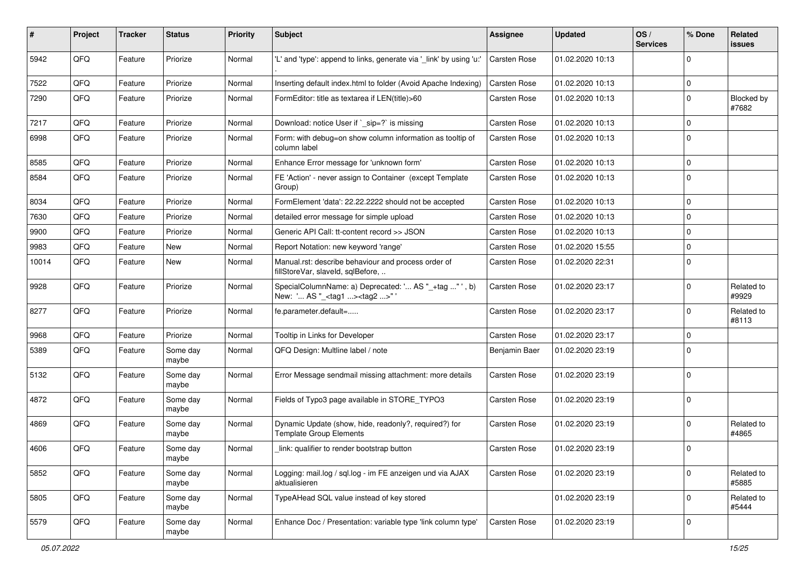| #     | Project | <b>Tracker</b> | <b>Status</b>     | <b>Priority</b> | Subject                                                                                            | <b>Assignee</b> | <b>Updated</b>   | OS/<br><b>Services</b> | % Done      | Related<br>issues   |
|-------|---------|----------------|-------------------|-----------------|----------------------------------------------------------------------------------------------------|-----------------|------------------|------------------------|-------------|---------------------|
| 5942  | QFQ     | Feature        | Priorize          | Normal          | 'L' and 'type': append to links, generate via '_link' by using 'u:'                                | Carsten Rose    | 01.02.2020 10:13 |                        | $\mathbf 0$ |                     |
| 7522  | QFQ     | Feature        | Priorize          | Normal          | Inserting default index.html to folder (Avoid Apache Indexing)                                     | Carsten Rose    | 01.02.2020 10:13 |                        | 0           |                     |
| 7290  | QFQ     | Feature        | Priorize          | Normal          | FormEditor: title as textarea if LEN(title)>60                                                     | Carsten Rose    | 01.02.2020 10:13 |                        | $\mathbf 0$ | Blocked by<br>#7682 |
| 7217  | QFQ     | Feature        | Priorize          | Normal          | Download: notice User if `_sip=?` is missing                                                       | Carsten Rose    | 01.02.2020 10:13 |                        | $\mathbf 0$ |                     |
| 6998  | QFQ     | Feature        | Priorize          | Normal          | Form: with debug=on show column information as tooltip of<br>column label                          | Carsten Rose    | 01.02.2020 10:13 |                        | $\mathbf 0$ |                     |
| 8585  | QFQ     | Feature        | Priorize          | Normal          | Enhance Error message for 'unknown form'                                                           | Carsten Rose    | 01.02.2020 10:13 |                        | 0           |                     |
| 8584  | QFQ     | Feature        | Priorize          | Normal          | FE 'Action' - never assign to Container (except Template)<br>Group)                                | Carsten Rose    | 01.02.2020 10:13 |                        | $\mathbf 0$ |                     |
| 8034  | QFQ     | Feature        | Priorize          | Normal          | FormElement 'data': 22.22.2222 should not be accepted                                              | Carsten Rose    | 01.02.2020 10:13 |                        | 0           |                     |
| 7630  | QFQ     | Feature        | Priorize          | Normal          | detailed error message for simple upload                                                           | Carsten Rose    | 01.02.2020 10:13 |                        | $\mathbf 0$ |                     |
| 9900  | QFQ     | Feature        | Priorize          | Normal          | Generic API Call: tt-content record >> JSON                                                        | Carsten Rose    | 01.02.2020 10:13 |                        | $\mathbf 0$ |                     |
| 9983  | QFQ     | Feature        | New               | Normal          | Report Notation: new keyword 'range'                                                               | Carsten Rose    | 01.02.2020 15:55 |                        | 0           |                     |
| 10014 | QFQ     | Feature        | New               | Normal          | Manual.rst: describe behaviour and process order of<br>fillStoreVar, slaveId, sqlBefore,           | Carsten Rose    | 01.02.2020 22:31 |                        | $\mathbf 0$ |                     |
| 9928  | QFQ     | Feature        | Priorize          | Normal          | SpecialColumnName: a) Deprecated: ' AS "_+tag " ', b)<br>New: ' AS "_ <tag1><tag2>"'</tag2></tag1> | Carsten Rose    | 01.02.2020 23:17 |                        | $\mathbf 0$ | Related to<br>#9929 |
| 8277  | QFQ     | Feature        | Priorize          | Normal          | fe.parameter.default=                                                                              | Carsten Rose    | 01.02.2020 23:17 |                        | $\mathbf 0$ | Related to<br>#8113 |
| 9968  | QFQ     | Feature        | Priorize          | Normal          | Tooltip in Links for Developer                                                                     | Carsten Rose    | 01.02.2020 23:17 |                        | 0           |                     |
| 5389  | QFQ     | Feature        | Some day<br>maybe | Normal          | QFQ Design: Multline label / note                                                                  | Benjamin Baer   | 01.02.2020 23:19 |                        | $\mathbf 0$ |                     |
| 5132  | QFQ     | Feature        | Some day<br>maybe | Normal          | Error Message sendmail missing attachment: more details                                            | Carsten Rose    | 01.02.2020 23:19 |                        | $\mathbf 0$ |                     |
| 4872  | QFQ     | Feature        | Some day<br>maybe | Normal          | Fields of Typo3 page available in STORE_TYPO3                                                      | Carsten Rose    | 01.02.2020 23:19 |                        | $\mathbf 0$ |                     |
| 4869  | QFQ     | Feature        | Some day<br>maybe | Normal          | Dynamic Update (show, hide, readonly?, required?) for<br><b>Template Group Elements</b>            | Carsten Rose    | 01.02.2020 23:19 |                        | $\mathbf 0$ | Related to<br>#4865 |
| 4606  | QFQ     | Feature        | Some day<br>maybe | Normal          | link: qualifier to render bootstrap button                                                         | Carsten Rose    | 01.02.2020 23:19 |                        | 0           |                     |
| 5852  | QFQ     | Feature        | Some day<br>maybe | Normal          | Logging: mail.log / sql.log - im FE anzeigen und via AJAX<br>aktualisieren                         | Carsten Rose    | 01.02.2020 23:19 |                        | 0           | Related to<br>#5885 |
| 5805  | QFQ     | Feature        | Some day<br>maybe | Normal          | TypeAHead SQL value instead of key stored                                                          |                 | 01.02.2020 23:19 |                        | 0           | Related to<br>#5444 |
| 5579  | QFQ     | Feature        | Some day<br>maybe | Normal          | Enhance Doc / Presentation: variable type 'link column type'                                       | Carsten Rose    | 01.02.2020 23:19 |                        | 0           |                     |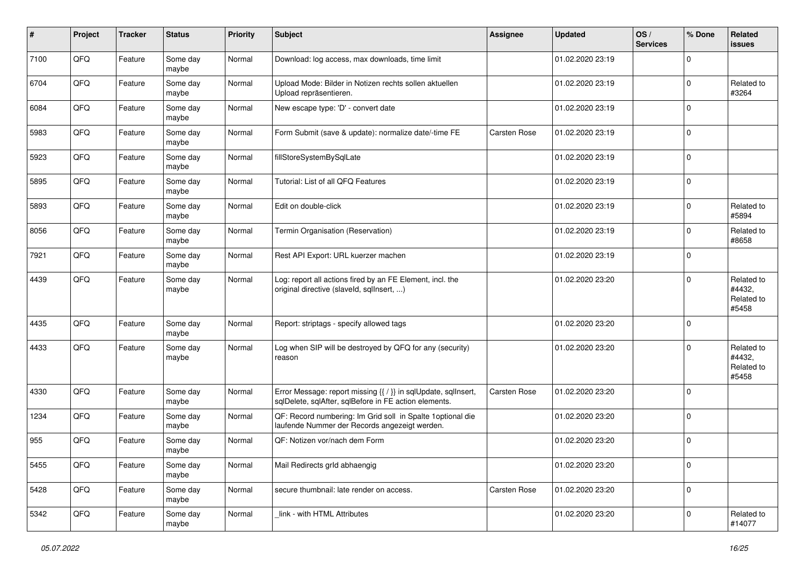| $\sharp$ | Project | <b>Tracker</b> | <b>Status</b>     | <b>Priority</b> | <b>Subject</b>                                                                                                          | <b>Assignee</b>     | <b>Updated</b>   | OS/<br><b>Services</b> | % Done      | Related<br><b>issues</b>                    |
|----------|---------|----------------|-------------------|-----------------|-------------------------------------------------------------------------------------------------------------------------|---------------------|------------------|------------------------|-------------|---------------------------------------------|
| 7100     | QFQ     | Feature        | Some day<br>maybe | Normal          | Download: log access, max downloads, time limit                                                                         |                     | 01.02.2020 23:19 |                        | $\Omega$    |                                             |
| 6704     | QFQ     | Feature        | Some day<br>maybe | Normal          | Upload Mode: Bilder in Notizen rechts sollen aktuellen<br>Upload repräsentieren.                                        |                     | 01.02.2020 23:19 |                        | $\mathbf 0$ | Related to<br>#3264                         |
| 6084     | QFQ     | Feature        | Some day<br>maybe | Normal          | New escape type: 'D' - convert date                                                                                     |                     | 01.02.2020 23:19 |                        | $\Omega$    |                                             |
| 5983     | QFQ     | Feature        | Some day<br>maybe | Normal          | Form Submit (save & update): normalize date/-time FE                                                                    | Carsten Rose        | 01.02.2020 23:19 |                        | $\mathbf 0$ |                                             |
| 5923     | QFQ     | Feature        | Some day<br>maybe | Normal          | fillStoreSystemBySqlLate                                                                                                |                     | 01.02.2020 23:19 |                        | $\mathbf 0$ |                                             |
| 5895     | QFQ     | Feature        | Some day<br>maybe | Normal          | Tutorial: List of all QFQ Features                                                                                      |                     | 01.02.2020 23:19 |                        | $\Omega$    |                                             |
| 5893     | QFQ     | Feature        | Some day<br>maybe | Normal          | Edit on double-click                                                                                                    |                     | 01.02.2020 23:19 |                        | $\Omega$    | Related to<br>#5894                         |
| 8056     | QFQ     | Feature        | Some day<br>maybe | Normal          | Termin Organisation (Reservation)                                                                                       |                     | 01.02.2020 23:19 |                        | $\Omega$    | Related to<br>#8658                         |
| 7921     | QFQ     | Feature        | Some day<br>maybe | Normal          | Rest API Export: URL kuerzer machen                                                                                     |                     | 01.02.2020 23:19 |                        | 0           |                                             |
| 4439     | QFQ     | Feature        | Some day<br>maybe | Normal          | Log: report all actions fired by an FE Element, incl. the<br>original directive (slaveld, sqllnsert, )                  |                     | 01.02.2020 23:20 |                        | $\Omega$    | Related to<br>#4432,<br>Related to<br>#5458 |
| 4435     | QFQ     | Feature        | Some day<br>maybe | Normal          | Report: striptags - specify allowed tags                                                                                |                     | 01.02.2020 23:20 |                        | 0           |                                             |
| 4433     | QFQ     | Feature        | Some day<br>maybe | Normal          | Log when SIP will be destroyed by QFQ for any (security)<br>reason                                                      |                     | 01.02.2020 23:20 |                        | $\Omega$    | Related to<br>#4432,<br>Related to<br>#5458 |
| 4330     | QFQ     | Feature        | Some day<br>maybe | Normal          | Error Message: report missing {{ / }} in sqlUpdate, sqlInsert,<br>sqlDelete, sqlAfter, sqlBefore in FE action elements. | Carsten Rose        | 01.02.2020 23:20 |                        | 0           |                                             |
| 1234     | QFQ     | Feature        | Some day<br>maybe | Normal          | QF: Record numbering: Im Grid soll in Spalte 1 optional die<br>laufende Nummer der Records angezeigt werden.            |                     | 01.02.2020 23:20 |                        | 0           |                                             |
| 955      | QFQ     | Feature        | Some day<br>maybe | Normal          | QF: Notizen vor/nach dem Form                                                                                           |                     | 01.02.2020 23:20 |                        | 0           |                                             |
| 5455     | QFQ     | Feature        | Some day<br>maybe | Normal          | Mail Redirects grld abhaengig                                                                                           |                     | 01.02.2020 23:20 |                        | $\mathbf 0$ |                                             |
| 5428     | QFQ     | Feature        | Some day<br>maybe | Normal          | secure thumbnail: late render on access.                                                                                | <b>Carsten Rose</b> | 01.02.2020 23:20 |                        | $\mathbf 0$ |                                             |
| 5342     | QFQ     | Feature        | Some day<br>maybe | Normal          | link - with HTML Attributes                                                                                             |                     | 01.02.2020 23:20 |                        | 0           | Related to<br>#14077                        |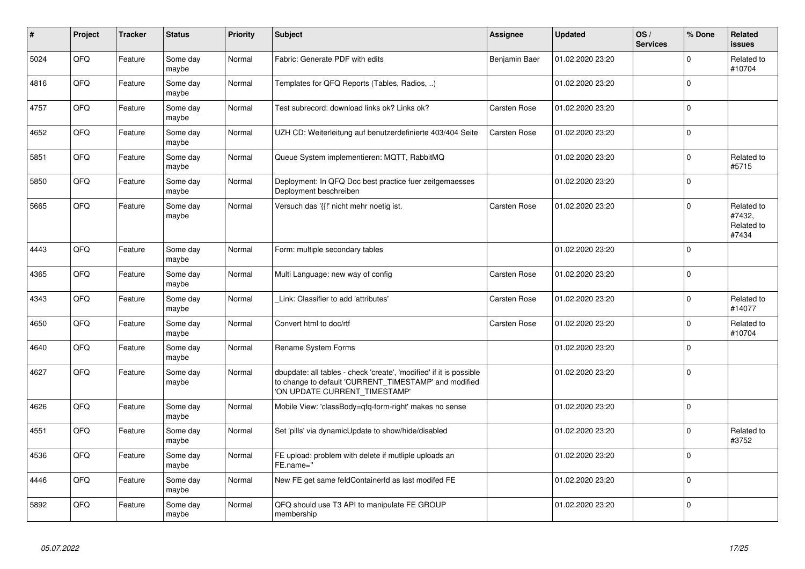| #    | Project | <b>Tracker</b> | <b>Status</b>     | <b>Priority</b> | <b>Subject</b>                                                                                                                                                | Assignee            | <b>Updated</b>   | OS/<br><b>Services</b> | % Done      | Related<br>issues                           |
|------|---------|----------------|-------------------|-----------------|---------------------------------------------------------------------------------------------------------------------------------------------------------------|---------------------|------------------|------------------------|-------------|---------------------------------------------|
| 5024 | QFQ     | Feature        | Some day<br>maybe | Normal          | Fabric: Generate PDF with edits                                                                                                                               | Benjamin Baer       | 01.02.2020 23:20 |                        | $\mathbf 0$ | Related to<br>#10704                        |
| 4816 | QFQ     | Feature        | Some day<br>maybe | Normal          | Templates for QFQ Reports (Tables, Radios, )                                                                                                                  |                     | 01.02.2020 23:20 |                        | 0           |                                             |
| 4757 | QFQ     | Feature        | Some day<br>maybe | Normal          | Test subrecord: download links ok? Links ok?                                                                                                                  | Carsten Rose        | 01.02.2020 23:20 |                        | $\mathbf 0$ |                                             |
| 4652 | QFQ     | Feature        | Some day<br>maybe | Normal          | UZH CD: Weiterleitung auf benutzerdefinierte 403/404 Seite                                                                                                    | <b>Carsten Rose</b> | 01.02.2020 23:20 |                        | $\Omega$    |                                             |
| 5851 | QFQ     | Feature        | Some day<br>maybe | Normal          | Queue System implementieren: MQTT, RabbitMQ                                                                                                                   |                     | 01.02.2020 23:20 |                        | $\mathbf 0$ | Related to<br>#5715                         |
| 5850 | QFQ     | Feature        | Some day<br>maybe | Normal          | Deployment: In QFQ Doc best practice fuer zeitgemaesses<br>Deployment beschreiben                                                                             |                     | 01.02.2020 23:20 |                        | $\Omega$    |                                             |
| 5665 | QFQ     | Feature        | Some day<br>maybe | Normal          | Versuch das '{{!' nicht mehr noetig ist.                                                                                                                      | Carsten Rose        | 01.02.2020 23:20 |                        | $\Omega$    | Related to<br>#7432,<br>Related to<br>#7434 |
| 4443 | QFQ     | Feature        | Some day<br>maybe | Normal          | Form: multiple secondary tables                                                                                                                               |                     | 01.02.2020 23:20 |                        | $\Omega$    |                                             |
| 4365 | QFQ     | Feature        | Some day<br>maybe | Normal          | Multi Language: new way of config                                                                                                                             | Carsten Rose        | 01.02.2020 23:20 |                        | $\mathbf 0$ |                                             |
| 4343 | QFQ     | Feature        | Some day<br>maybe | Normal          | Link: Classifier to add 'attributes'                                                                                                                          | Carsten Rose        | 01.02.2020 23:20 |                        | $\Omega$    | Related to<br>#14077                        |
| 4650 | QFQ     | Feature        | Some day<br>maybe | Normal          | Convert html to doc/rtf                                                                                                                                       | Carsten Rose        | 01.02.2020 23:20 |                        | $\mathbf 0$ | Related to<br>#10704                        |
| 4640 | QFQ     | Feature        | Some day<br>maybe | Normal          | Rename System Forms                                                                                                                                           |                     | 01.02.2020 23:20 |                        | $\mathbf 0$ |                                             |
| 4627 | QFQ     | Feature        | Some day<br>maybe | Normal          | dbupdate: all tables - check 'create', 'modified' if it is possible<br>to change to default 'CURRENT_TIMESTAMP' and modified<br>'ON UPDATE CURRENT_TIMESTAMP' |                     | 01.02.2020 23:20 |                        | $\Omega$    |                                             |
| 4626 | QFQ     | Feature        | Some day<br>maybe | Normal          | Mobile View: 'classBody=qfq-form-right' makes no sense                                                                                                        |                     | 01.02.2020 23:20 |                        | $\Omega$    |                                             |
| 4551 | QFQ     | Feature        | Some day<br>maybe | Normal          | Set 'pills' via dynamicUpdate to show/hide/disabled                                                                                                           |                     | 01.02.2020 23:20 |                        | $\Omega$    | Related to<br>#3752                         |
| 4536 | QFQ     | Feature        | Some day<br>maybe | Normal          | FE upload: problem with delete if mutliple uploads an<br>FE.name="                                                                                            |                     | 01.02.2020 23:20 |                        | $\Omega$    |                                             |
| 4446 | QFQ     | Feature        | Some day<br>maybe | Normal          | New FE get same feldContainerId as last modifed FE                                                                                                            |                     | 01.02.2020 23:20 |                        | $\mathbf 0$ |                                             |
| 5892 | QFQ     | Feature        | Some day<br>maybe | Normal          | QFQ should use T3 API to manipulate FE GROUP<br>membership                                                                                                    |                     | 01.02.2020 23:20 |                        | $\mathbf 0$ |                                             |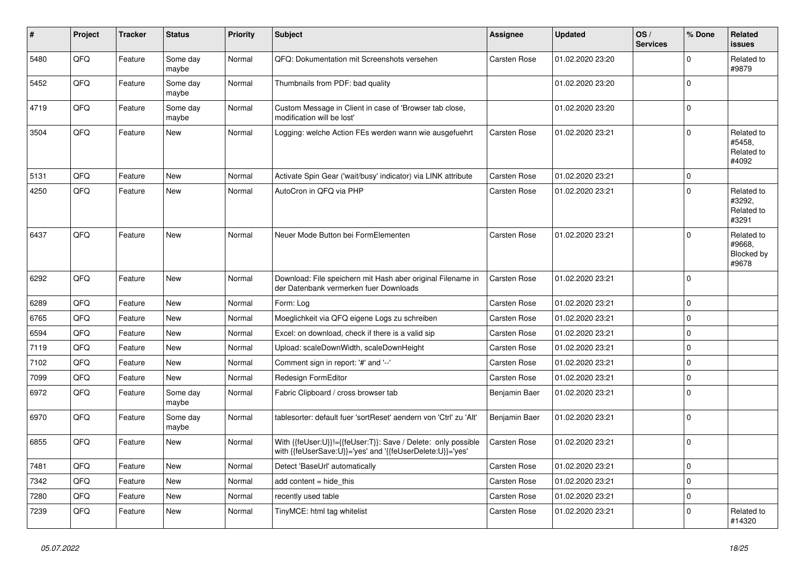| #    | Project | <b>Tracker</b> | <b>Status</b>     | <b>Priority</b> | <b>Subject</b>                                                                                                             | Assignee            | <b>Updated</b>   | OS/<br><b>Services</b> | % Done       | <b>Related</b><br><b>issues</b>             |
|------|---------|----------------|-------------------|-----------------|----------------------------------------------------------------------------------------------------------------------------|---------------------|------------------|------------------------|--------------|---------------------------------------------|
| 5480 | QFQ     | Feature        | Some day<br>maybe | Normal          | QFQ: Dokumentation mit Screenshots versehen                                                                                | Carsten Rose        | 01.02.2020 23:20 |                        | $\Omega$     | Related to<br>#9879                         |
| 5452 | QFQ     | Feature        | Some day<br>maybe | Normal          | Thumbnails from PDF: bad quality                                                                                           |                     | 01.02.2020 23:20 |                        | $\Omega$     |                                             |
| 4719 | QFQ     | Feature        | Some day<br>maybe | Normal          | Custom Message in Client in case of 'Browser tab close,<br>modification will be lost'                                      |                     | 01.02.2020 23:20 |                        | $\Omega$     |                                             |
| 3504 | QFQ     | Feature        | <b>New</b>        | Normal          | Logging: welche Action FEs werden wann wie ausgefuehrt                                                                     | Carsten Rose        | 01.02.2020 23:21 |                        | $\Omega$     | Related to<br>#5458,<br>Related to<br>#4092 |
| 5131 | QFQ     | Feature        | <b>New</b>        | Normal          | Activate Spin Gear ('wait/busy' indicator) via LINK attribute                                                              | <b>Carsten Rose</b> | 01.02.2020 23:21 |                        | $\Omega$     |                                             |
| 4250 | QFQ     | Feature        | <b>New</b>        | Normal          | AutoCron in QFQ via PHP                                                                                                    | Carsten Rose        | 01.02.2020 23:21 |                        | $\Omega$     | Related to<br>#3292,<br>Related to<br>#3291 |
| 6437 | QFQ     | Feature        | <b>New</b>        | Normal          | Neuer Mode Button bei FormElementen                                                                                        | Carsten Rose        | 01.02.2020 23:21 |                        | $\Omega$     | Related to<br>#9668,<br>Blocked by<br>#9678 |
| 6292 | QFQ     | Feature        | <b>New</b>        | Normal          | Download: File speichern mit Hash aber original Filename in<br>der Datenbank vermerken fuer Downloads                      | <b>Carsten Rose</b> | 01.02.2020 23:21 |                        | $\Omega$     |                                             |
| 6289 | QFQ     | Feature        | <b>New</b>        | Normal          | Form: Log                                                                                                                  | <b>Carsten Rose</b> | 01.02.2020 23:21 |                        | $\mathbf 0$  |                                             |
| 6765 | QFQ     | Feature        | <b>New</b>        | Normal          | Moeglichkeit via QFQ eigene Logs zu schreiben                                                                              | Carsten Rose        | 01.02.2020 23:21 |                        | $\Omega$     |                                             |
| 6594 | QFQ     | Feature        | <b>New</b>        | Normal          | Excel: on download, check if there is a valid sip                                                                          | Carsten Rose        | 01.02.2020 23:21 |                        | $\Omega$     |                                             |
| 7119 | QFQ     | Feature        | <b>New</b>        | Normal          | Upload: scaleDownWidth, scaleDownHeight                                                                                    | Carsten Rose        | 01.02.2020 23:21 |                        | $\Omega$     |                                             |
| 7102 | QFQ     | Feature        | <b>New</b>        | Normal          | Comment sign in report: '#' and '--'                                                                                       | Carsten Rose        | 01.02.2020 23:21 |                        | $\Omega$     |                                             |
| 7099 | QFQ     | Feature        | <b>New</b>        | Normal          | Redesign FormEditor                                                                                                        | <b>Carsten Rose</b> | 01.02.2020 23:21 |                        | $\Omega$     |                                             |
| 6972 | QFQ     | Feature        | Some day<br>maybe | Normal          | Fabric Clipboard / cross browser tab                                                                                       | Benjamin Baer       | 01.02.2020 23:21 |                        | $\Omega$     |                                             |
| 6970 | QFQ     | Feature        | Some day<br>maybe | Normal          | tablesorter: default fuer 'sortReset' aendern von 'Ctrl' zu 'Alt'                                                          | Benjamin Baer       | 01.02.2020 23:21 |                        | $\Omega$     |                                             |
| 6855 | QFQ     | Feature        | <b>New</b>        | Normal          | With {{feUser:U}}!={{feUser:T}}: Save / Delete: only possible<br>with {{feUserSave:U}}='yes' and '{{feUserDelete:U}}='yes' | Carsten Rose        | 01.02.2020 23:21 |                        | $\Omega$     |                                             |
| 7481 | QFQ     | Feature        | <b>New</b>        | Normal          | Detect 'BaseUrl' automatically                                                                                             | Carsten Rose        | 01.02.2020 23:21 |                        | $\Omega$     |                                             |
| 7342 | QFQ     | Feature        | <b>New</b>        | Normal          | add content = hide this                                                                                                    | Carsten Rose        | 01.02.2020 23:21 |                        | $\Omega$     |                                             |
| 7280 | QFQ     | Feature        | <b>New</b>        | Normal          | recently used table                                                                                                        | Carsten Rose        | 01.02.2020 23:21 |                        | $\mathbf{0}$ |                                             |
| 7239 | QFQ     | Feature        | <b>New</b>        | Normal          | TinyMCE: html tag whitelist                                                                                                | Carsten Rose        | 01.02.2020 23:21 |                        | $\Omega$     | Related to<br>#14320                        |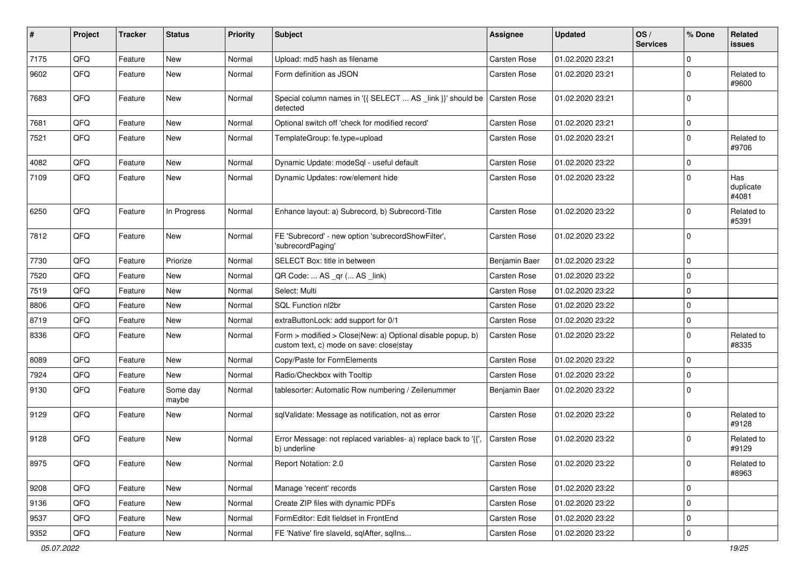| $\sharp$ | Project | <b>Tracker</b> | <b>Status</b>     | <b>Priority</b> | Subject                                                                                                | <b>Assignee</b>     | <b>Updated</b>   | OS/<br><b>Services</b> | % Done         | Related<br>issues         |
|----------|---------|----------------|-------------------|-----------------|--------------------------------------------------------------------------------------------------------|---------------------|------------------|------------------------|----------------|---------------------------|
| 7175     | QFQ     | Feature        | New               | Normal          | Upload: md5 hash as filename                                                                           | <b>Carsten Rose</b> | 01.02.2020 23:21 |                        | $\Omega$       |                           |
| 9602     | QFQ     | Feature        | New               | Normal          | Form definition as JSON                                                                                | Carsten Rose        | 01.02.2020 23:21 |                        | $\Omega$       | Related to<br>#9600       |
| 7683     | QFQ     | Feature        | New               | Normal          | Special column names in '{{ SELECT  AS _link }}' should be   Carsten Rose<br>detected                  |                     | 01.02.2020 23:21 |                        | $\mathbf 0$    |                           |
| 7681     | QFQ     | Feature        | New               | Normal          | Optional switch off 'check for modified record'                                                        | Carsten Rose        | 01.02.2020 23:21 |                        | $\overline{0}$ |                           |
| 7521     | QFQ     | Feature        | New               | Normal          | TemplateGroup: fe.type=upload                                                                          | Carsten Rose        | 01.02.2020 23:21 |                        | $\Omega$       | Related to<br>#9706       |
| 4082     | QFQ     | Feature        | New               | Normal          | Dynamic Update: modeSql - useful default                                                               | <b>Carsten Rose</b> | 01.02.2020 23:22 |                        | $\mathbf 0$    |                           |
| 7109     | QFQ     | Feature        | New               | Normal          | Dynamic Updates: row/element hide                                                                      | Carsten Rose        | 01.02.2020 23:22 |                        | $\Omega$       | Has<br>duplicate<br>#4081 |
| 6250     | QFQ     | Feature        | In Progress       | Normal          | Enhance layout: a) Subrecord, b) Subrecord-Title                                                       | Carsten Rose        | 01.02.2020 23:22 |                        | $\Omega$       | Related to<br>#5391       |
| 7812     | QFQ     | Feature        | New               | Normal          | FE 'Subrecord' - new option 'subrecordShowFilter',<br>'subrecordPaging'                                | Carsten Rose        | 01.02.2020 23:22 |                        | $\Omega$       |                           |
| 7730     | QFQ     | Feature        | Priorize          | Normal          | SELECT Box: title in between                                                                           | Benjamin Baer       | 01.02.2020 23:22 |                        | $\overline{0}$ |                           |
| 7520     | QFQ     | Feature        | New               | Normal          | QR Code:  AS _qr ( AS _link)                                                                           | <b>Carsten Rose</b> | 01.02.2020 23:22 |                        | $\mathbf 0$    |                           |
| 7519     | QFQ     | Feature        | New               | Normal          | Select: Multi                                                                                          | Carsten Rose        | 01.02.2020 23:22 |                        | $\mathbf 0$    |                           |
| 8806     | QFQ     | Feature        | New               | Normal          | SQL Function nl2br                                                                                     | Carsten Rose        | 01.02.2020 23:22 |                        | $\Omega$       |                           |
| 8719     | QFQ     | Feature        | New               | Normal          | extraButtonLock: add support for 0/1                                                                   | Carsten Rose        | 01.02.2020 23:22 |                        | $\mathbf 0$    |                           |
| 8336     | QFQ     | Feature        | New               | Normal          | Form > modified > Close New: a) Optional disable popup, b)<br>custom text, c) mode on save: close stay | Carsten Rose        | 01.02.2020 23:22 |                        | $\overline{0}$ | Related to<br>#8335       |
| 8089     | QFQ     | Feature        | New               | Normal          | Copy/Paste for FormElements                                                                            | Carsten Rose        | 01.02.2020 23:22 |                        | $\Omega$       |                           |
| 7924     | QFQ     | Feature        | New               | Normal          | Radio/Checkbox with Tooltip                                                                            | Carsten Rose        | 01.02.2020 23:22 |                        | $\mathbf 0$    |                           |
| 9130     | QFQ     | Feature        | Some day<br>maybe | Normal          | tablesorter: Automatic Row numbering / Zeilenummer                                                     | Benjamin Baer       | 01.02.2020 23:22 |                        | $\overline{0}$ |                           |
| 9129     | QFQ     | Feature        | New               | Normal          | sqlValidate: Message as notification, not as error                                                     | Carsten Rose        | 01.02.2020 23:22 |                        | $\mathbf 0$    | Related to<br>#9128       |
| 9128     | QFQ     | Feature        | New               | Normal          | Error Message: not replaced variables- a) replace back to '{',<br>b) underline                         | Carsten Rose        | 01.02.2020 23:22 |                        | $\Omega$       | Related to<br>#9129       |
| 8975     | QFQ     | Feature        | New               | Normal          | Report Notation: 2.0                                                                                   | Carsten Rose        | 01.02.2020 23:22 |                        | $\overline{0}$ | Related to<br>#8963       |
| 9208     | QFO     | Feature        | New               | Normal          | Manage 'recent' records                                                                                | Carsten Rose        | 01.02.2020 23:22 |                        | $\mathbf 0$    |                           |
| 9136     | QFQ     | Feature        | New               | Normal          | Create ZIP files with dynamic PDFs                                                                     | Carsten Rose        | 01.02.2020 23:22 |                        | 0              |                           |
| 9537     | QFQ     | Feature        | New               | Normal          | FormEditor: Edit fieldset in FrontEnd                                                                  | Carsten Rose        | 01.02.2020 23:22 |                        | 0              |                           |
| 9352     | QFQ     | Feature        | New               | Normal          | FE 'Native' fire slaveld, sqlAfter, sqlIns                                                             | Carsten Rose        | 01.02.2020 23:22 |                        | $\mathbf 0$    |                           |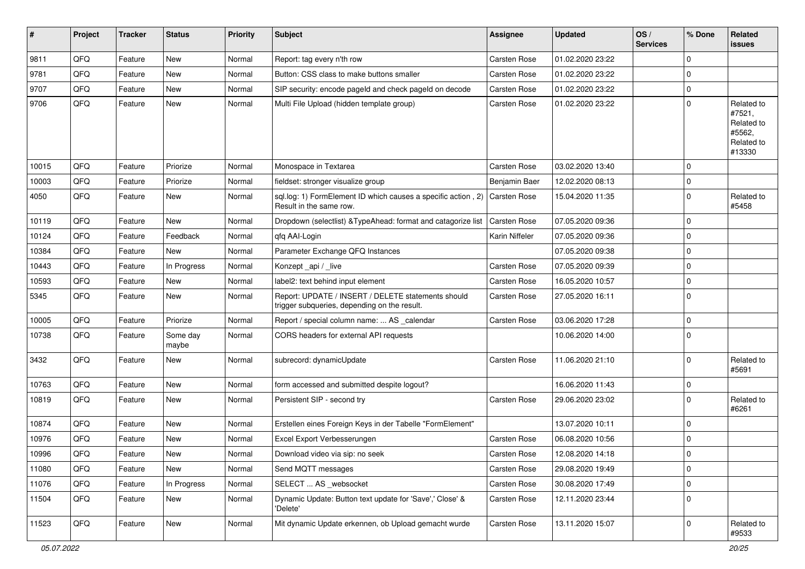| #     | Project | <b>Tracker</b> | <b>Status</b>     | <b>Priority</b> | Subject                                                                                            | Assignee            | <b>Updated</b>   | OS/<br><b>Services</b> | % Done      | Related<br>issues                                                    |
|-------|---------|----------------|-------------------|-----------------|----------------------------------------------------------------------------------------------------|---------------------|------------------|------------------------|-------------|----------------------------------------------------------------------|
| 9811  | QFQ     | Feature        | <b>New</b>        | Normal          | Report: tag every n'th row                                                                         | Carsten Rose        | 01.02.2020 23:22 |                        | $\Omega$    |                                                                      |
| 9781  | QFQ     | Feature        | <b>New</b>        | Normal          | Button: CSS class to make buttons smaller                                                          | <b>Carsten Rose</b> | 01.02.2020 23:22 |                        | 0           |                                                                      |
| 9707  | QFQ     | Feature        | <b>New</b>        | Normal          | SIP security: encode pageld and check pageld on decode                                             | Carsten Rose        | 01.02.2020 23:22 |                        | $\mathbf 0$ |                                                                      |
| 9706  | QFQ     | Feature        | <b>New</b>        | Normal          | Multi File Upload (hidden template group)                                                          | Carsten Rose        | 01.02.2020 23:22 |                        | $\Omega$    | Related to<br>#7521,<br>Related to<br>#5562,<br>Related to<br>#13330 |
| 10015 | QFQ     | Feature        | Priorize          | Normal          | Monospace in Textarea                                                                              | <b>Carsten Rose</b> | 03.02.2020 13:40 |                        | 0           |                                                                      |
| 10003 | QFQ     | Feature        | Priorize          | Normal          | fieldset: stronger visualize group                                                                 | Benjamin Baer       | 12.02.2020 08:13 |                        | $\Omega$    |                                                                      |
| 4050  | QFQ     | Feature        | <b>New</b>        | Normal          | sql.log: 1) FormElement ID which causes a specific action, 2)<br>Result in the same row.           | Carsten Rose        | 15.04.2020 11:35 |                        | 0           | Related to<br>#5458                                                  |
| 10119 | QFQ     | Feature        | <b>New</b>        | Normal          | Dropdown (selectlist) & TypeAhead: format and catagorize list                                      | <b>Carsten Rose</b> | 07.05.2020 09:36 |                        | 0           |                                                                      |
| 10124 | QFQ     | Feature        | Feedback          | Normal          | qfq AAI-Login                                                                                      | Karin Niffeler      | 07.05.2020 09:36 |                        | $\Omega$    |                                                                      |
| 10384 | QFQ     | Feature        | New               | Normal          | Parameter Exchange QFQ Instances                                                                   |                     | 07.05.2020 09:38 |                        | 0           |                                                                      |
| 10443 | QFQ     | Feature        | In Progress       | Normal          | Konzept_api / _live                                                                                | <b>Carsten Rose</b> | 07.05.2020 09:39 |                        | 0           |                                                                      |
| 10593 | QFQ     | Feature        | New               | Normal          | label2: text behind input element                                                                  | <b>Carsten Rose</b> | 16.05.2020 10:57 |                        | 0           |                                                                      |
| 5345  | QFQ     | Feature        | <b>New</b>        | Normal          | Report: UPDATE / INSERT / DELETE statements should<br>trigger subqueries, depending on the result. | <b>Carsten Rose</b> | 27.05.2020 16:11 |                        | $\Omega$    |                                                                      |
| 10005 | QFQ     | Feature        | Priorize          | Normal          | Report / special column name:  AS _calendar                                                        | <b>Carsten Rose</b> | 03.06.2020 17:28 |                        | $\Omega$    |                                                                      |
| 10738 | QFQ     | Feature        | Some day<br>maybe | Normal          | CORS headers for external API requests                                                             |                     | 10.06.2020 14:00 |                        | $\mathbf 0$ |                                                                      |
| 3432  | QFQ     | Feature        | New               | Normal          | subrecord: dynamicUpdate                                                                           | Carsten Rose        | 11.06.2020 21:10 |                        | $\Omega$    | Related to<br>#5691                                                  |
| 10763 | QFQ     | Feature        | New               | Normal          | form accessed and submitted despite logout?                                                        |                     | 16.06.2020 11:43 |                        | $\mathbf 0$ |                                                                      |
| 10819 | QFQ     | Feature        | <b>New</b>        | Normal          | Persistent SIP - second try                                                                        | Carsten Rose        | 29.06.2020 23:02 |                        | $\Omega$    | Related to<br>#6261                                                  |
| 10874 | QFQ     | Feature        | New               | Normal          | Erstellen eines Foreign Keys in der Tabelle "FormElement"                                          |                     | 13.07.2020 10:11 |                        | $\Omega$    |                                                                      |
| 10976 | QFQ     | Feature        | <b>New</b>        | Normal          | Excel Export Verbesserungen                                                                        | Carsten Rose        | 06.08.2020 10:56 |                        | 0           |                                                                      |
| 10996 | QFG     | Feature        | New               | Normal          | Download video via sip: no seek                                                                    | Carsten Rose        | 12.08.2020 14:18 |                        | $\Omega$    |                                                                      |
| 11080 | QFQ     | Feature        | New               | Normal          | Send MQTT messages                                                                                 | Carsten Rose        | 29.08.2020 19:49 |                        | 0           |                                                                      |
| 11076 | QFQ     | Feature        | In Progress       | Normal          | SELECT  AS _websocket                                                                              | Carsten Rose        | 30.08.2020 17:49 |                        | $\mathbf 0$ |                                                                      |
| 11504 | QFQ     | Feature        | New               | Normal          | Dynamic Update: Button text update for 'Save',' Close' &<br>'Delete'                               | Carsten Rose        | 12.11.2020 23:44 |                        | 0           |                                                                      |
| 11523 | QFQ     | Feature        | New               | Normal          | Mit dynamic Update erkennen, ob Upload gemacht wurde                                               | Carsten Rose        | 13.11.2020 15:07 |                        | 0           | Related to<br>#9533                                                  |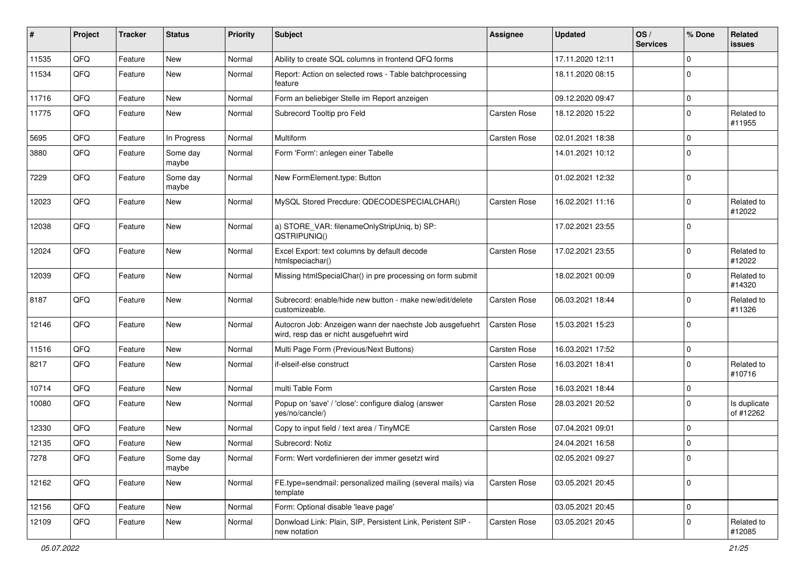| ∦     | Project | <b>Tracker</b> | <b>Status</b>     | <b>Priority</b> | <b>Subject</b>                                                                                       | <b>Assignee</b> | <b>Updated</b>   | OS/<br><b>Services</b> | % Done      | Related<br>issues         |
|-------|---------|----------------|-------------------|-----------------|------------------------------------------------------------------------------------------------------|-----------------|------------------|------------------------|-------------|---------------------------|
| 11535 | QFQ     | Feature        | <b>New</b>        | Normal          | Ability to create SQL columns in frontend QFQ forms                                                  |                 | 17.11.2020 12:11 |                        | $\mathbf 0$ |                           |
| 11534 | QFQ     | Feature        | <b>New</b>        | Normal          | Report: Action on selected rows - Table batchprocessing<br>feature                                   |                 | 18.11.2020 08:15 |                        | $\mathbf 0$ |                           |
| 11716 | QFQ     | Feature        | <b>New</b>        | Normal          | Form an beliebiger Stelle im Report anzeigen                                                         |                 | 09.12.2020 09:47 |                        | $\mathbf 0$ |                           |
| 11775 | QFQ     | Feature        | New               | Normal          | Subrecord Tooltip pro Feld                                                                           | Carsten Rose    | 18.12.2020 15:22 |                        | $\mathbf 0$ | Related to<br>#11955      |
| 5695  | QFQ     | Feature        | In Progress       | Normal          | Multiform                                                                                            | Carsten Rose    | 02.01.2021 18:38 |                        | $\mathbf 0$ |                           |
| 3880  | QFQ     | Feature        | Some day<br>maybe | Normal          | Form 'Form': anlegen einer Tabelle                                                                   |                 | 14.01.2021 10:12 |                        | $\mathbf 0$ |                           |
| 7229  | QFQ     | Feature        | Some day<br>maybe | Normal          | New FormElement.type: Button                                                                         |                 | 01.02.2021 12:32 |                        | $\Omega$    |                           |
| 12023 | QFQ     | Feature        | <b>New</b>        | Normal          | MySQL Stored Precdure: QDECODESPECIALCHAR()                                                          | Carsten Rose    | 16.02.2021 11:16 |                        | $\mathbf 0$ | Related to<br>#12022      |
| 12038 | QFQ     | Feature        | <b>New</b>        | Normal          | a) STORE_VAR: filenameOnlyStripUniq, b) SP:<br>QSTRIPUNIQ()                                          |                 | 17.02.2021 23:55 |                        | $\mathbf 0$ |                           |
| 12024 | QFQ     | Feature        | <b>New</b>        | Normal          | Excel Export: text columns by default decode<br>htmlspeciachar()                                     | Carsten Rose    | 17.02.2021 23:55 |                        | $\mathbf 0$ | Related to<br>#12022      |
| 12039 | QFQ     | Feature        | <b>New</b>        | Normal          | Missing htmlSpecialChar() in pre processing on form submit                                           |                 | 18.02.2021 00:09 |                        | $\mathbf 0$ | Related to<br>#14320      |
| 8187  | QFQ     | Feature        | <b>New</b>        | Normal          | Subrecord: enable/hide new button - make new/edit/delete<br>customizeable.                           | Carsten Rose    | 06.03.2021 18:44 |                        | $\mathbf 0$ | Related to<br>#11326      |
| 12146 | QFQ     | Feature        | <b>New</b>        | Normal          | Autocron Job: Anzeigen wann der naechste Job ausgefuehrt<br>wird, resp das er nicht ausgefuehrt wird | Carsten Rose    | 15.03.2021 15:23 |                        | $\mathbf 0$ |                           |
| 11516 | QFQ     | Feature        | <b>New</b>        | Normal          | Multi Page Form (Previous/Next Buttons)                                                              | Carsten Rose    | 16.03.2021 17:52 |                        | $\mathbf 0$ |                           |
| 8217  | QFQ     | Feature        | <b>New</b>        | Normal          | if-elseif-else construct                                                                             | Carsten Rose    | 16.03.2021 18:41 |                        | $\mathbf 0$ | Related to<br>#10716      |
| 10714 | QFQ     | Feature        | New               | Normal          | multi Table Form                                                                                     | Carsten Rose    | 16.03.2021 18:44 |                        | $\mathbf 0$ |                           |
| 10080 | QFQ     | Feature        | <b>New</b>        | Normal          | Popup on 'save' / 'close': configure dialog (answer<br>yes/no/cancle/)                               | Carsten Rose    | 28.03.2021 20:52 |                        | $\Omega$    | Is duplicate<br>of #12262 |
| 12330 | QFQ     | Feature        | <b>New</b>        | Normal          | Copy to input field / text area / TinyMCE                                                            | Carsten Rose    | 07.04.2021 09:01 |                        | $\mathbf 0$ |                           |
| 12135 | QFQ     | Feature        | <b>New</b>        | Normal          | Subrecord: Notiz                                                                                     |                 | 24.04.2021 16:58 |                        | 0           |                           |
| 7278  | QFQ     | Feature        | Some day<br>maybe | Normal          | Form: Wert vordefinieren der immer gesetzt wird                                                      |                 | 02.05.2021 09:27 |                        | 0           |                           |
| 12162 | QFQ     | Feature        | New               | Normal          | FE.type=sendmail: personalized mailing (several mails) via<br>template                               | Carsten Rose    | 03.05.2021 20:45 |                        | $\mathbf 0$ |                           |
| 12156 | QFQ     | Feature        | New               | Normal          | Form: Optional disable 'leave page'                                                                  |                 | 03.05.2021 20:45 |                        | $\pmb{0}$   |                           |
| 12109 | QFQ     | Feature        | New               | Normal          | Donwload Link: Plain, SIP, Persistent Link, Peristent SIP -<br>new notation                          | Carsten Rose    | 03.05.2021 20:45 |                        | 0           | Related to<br>#12085      |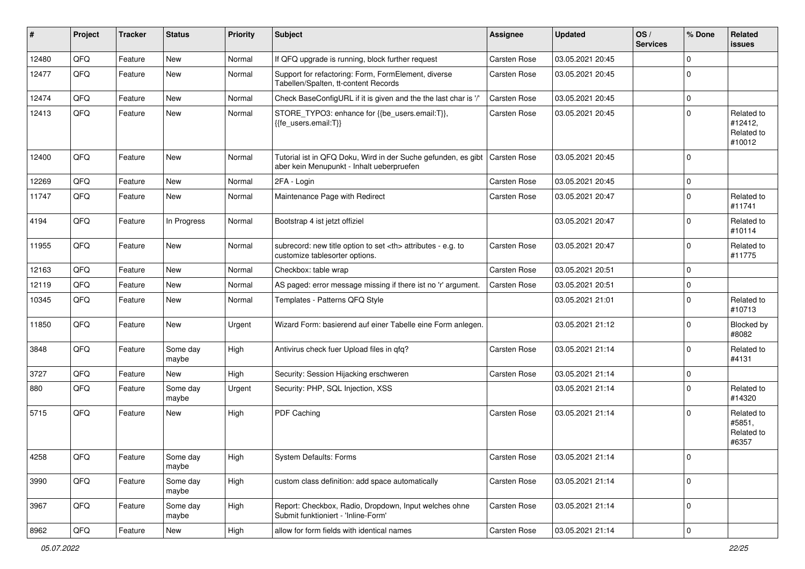| ∦     | Project | <b>Tracker</b> | <b>Status</b>     | <b>Priority</b> | Subject                                                                                                    | <b>Assignee</b>                                        | <b>Updated</b>      | OS/<br><b>Services</b> | % Done         | Related<br>issues                             |                      |
|-------|---------|----------------|-------------------|-----------------|------------------------------------------------------------------------------------------------------------|--------------------------------------------------------|---------------------|------------------------|----------------|-----------------------------------------------|----------------------|
| 12480 | QFQ     | Feature        | New               | Normal          | If QFQ upgrade is running, block further request                                                           | Carsten Rose                                           | 03.05.2021 20:45    |                        | $\Omega$       |                                               |                      |
| 12477 | QFQ     | Feature        | <b>New</b>        | Normal          | Support for refactoring: Form, FormElement, diverse<br>Tabellen/Spalten, tt-content Records                | Carsten Rose                                           | 03.05.2021 20:45    |                        | $\Omega$       |                                               |                      |
| 12474 | QFQ     | Feature        | <b>New</b>        | Normal          | Check BaseConfigURL if it is given and the the last char is '/'                                            | Carsten Rose                                           | 03.05.2021 20:45    |                        | $\mathbf 0$    |                                               |                      |
| 12413 | QFQ     | Feature        | New               | Normal          | STORE_TYPO3: enhance for {{be_users.email:T}},<br>{{fe_users.email:T}}                                     | <b>Carsten Rose</b>                                    | 03.05.2021 20:45    |                        | $\Omega$       | Related to<br>#12412,<br>Related to<br>#10012 |                      |
| 12400 | QFQ     | Feature        | <b>New</b>        | Normal          | Tutorial ist in QFQ Doku, Wird in der Suche gefunden, es gibt<br>aber kein Menupunkt - Inhalt ueberpruefen | <b>Carsten Rose</b>                                    | 03.05.2021 20:45    |                        | $\Omega$       |                                               |                      |
| 12269 | QFQ     | Feature        | <b>New</b>        | Normal          | 2FA - Login                                                                                                | <b>Carsten Rose</b>                                    | 03.05.2021 20:45    |                        | $\Omega$       |                                               |                      |
| 11747 | QFQ     | Feature        | <b>New</b>        | Normal          | Maintenance Page with Redirect                                                                             | Carsten Rose                                           | 03.05.2021 20:47    |                        | 0              | Related to<br>#11741                          |                      |
| 4194  | QFQ     | Feature        | In Progress       | Normal          | Bootstrap 4 ist jetzt offiziel                                                                             |                                                        | 03.05.2021 20:47    |                        | $\Omega$       | Related to<br>#10114                          |                      |
| 11955 | QFQ     | Feature        | <b>New</b>        | Normal          | subrecord: new title option to set <th> attributes - e.g. to<br/>customize tablesorter options.</th>       | attributes - e.g. to<br>customize tablesorter options. | <b>Carsten Rose</b> | 03.05.2021 20:47       |                | $\Omega$                                      | Related to<br>#11775 |
| 12163 | QFQ     | Feature        | <b>New</b>        | Normal          | Checkbox: table wrap                                                                                       | <b>Carsten Rose</b>                                    | 03.05.2021 20:51    |                        | $\mathbf 0$    |                                               |                      |
| 12119 | QFQ     | Feature        | New               | Normal          | AS paged: error message missing if there ist no 'r' argument.                                              | Carsten Rose                                           | 03.05.2021 20:51    |                        | 0              |                                               |                      |
| 10345 | QFQ     | Feature        | <b>New</b>        | Normal          | Templates - Patterns QFQ Style                                                                             |                                                        | 03.05.2021 21:01    |                        | $\Omega$       | Related to<br>#10713                          |                      |
| 11850 | QFQ     | Feature        | <b>New</b>        | Urgent          | Wizard Form: basierend auf einer Tabelle eine Form anlegen.                                                |                                                        | 03.05.2021 21:12    |                        | $\Omega$       | Blocked by<br>#8082                           |                      |
| 3848  | QFQ     | Feature        | Some day<br>maybe | High            | Antivirus check fuer Upload files in qfq?                                                                  | <b>Carsten Rose</b>                                    | 03.05.2021 21:14    |                        | $\Omega$       | Related to<br>#4131                           |                      |
| 3727  | QFQ     | Feature        | <b>New</b>        | High            | Security: Session Hijacking erschweren                                                                     | Carsten Rose                                           | 03.05.2021 21:14    |                        | 0              |                                               |                      |
| 880   | QFQ     | Feature        | Some day<br>maybe | Urgent          | Security: PHP, SQL Injection, XSS                                                                          |                                                        | 03.05.2021 21:14    |                        | 0              | Related to<br>#14320                          |                      |
| 5715  | QFQ     | Feature        | <b>New</b>        | High            | PDF Caching                                                                                                | <b>Carsten Rose</b>                                    | 03.05.2021 21:14    |                        | $\Omega$       | Related to<br>#5851,<br>Related to<br>#6357   |                      |
| 4258  | QFQ     | Feature        | Some day<br>maybe | High            | System Defaults: Forms                                                                                     | Carsten Rose                                           | 03.05.2021 21:14    |                        | <b>O</b>       |                                               |                      |
| 3990  | QFQ     | Feature        | Some day<br>maybe | High            | custom class definition: add space automatically                                                           | Carsten Rose                                           | 03.05.2021 21:14    |                        | $\overline{0}$ |                                               |                      |
| 3967  | QFQ     | Feature        | Some day<br>maybe | High            | Report: Checkbox, Radio, Dropdown, Input welches ohne<br>Submit funktioniert - 'Inline-Form'               | Carsten Rose                                           | 03.05.2021 21:14    |                        | $\mathbf 0$    |                                               |                      |
| 8962  | QFG     | Feature        | New               | High            | allow for form fields with identical names                                                                 | Carsten Rose                                           | 03.05.2021 21:14    |                        | $\overline{0}$ |                                               |                      |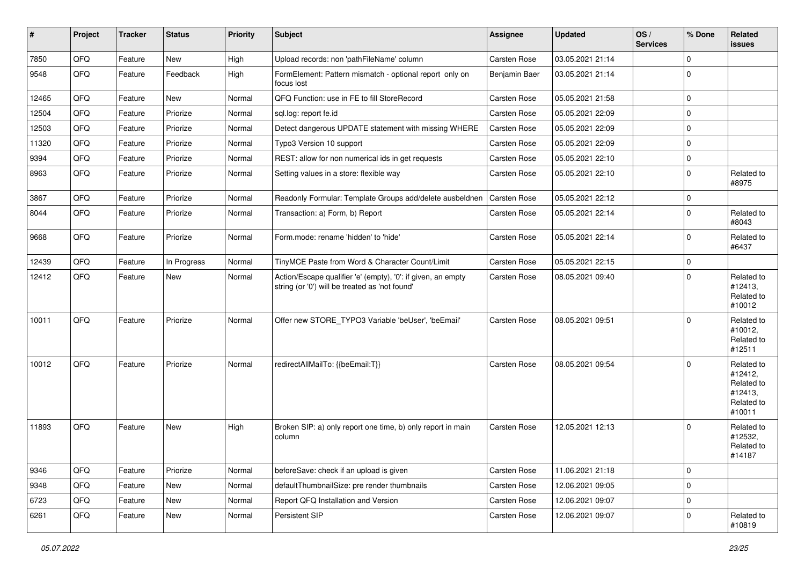| ∦     | Project | <b>Tracker</b> | <b>Status</b> | <b>Priority</b> | <b>Subject</b>                                                                                                 | Assignee            | <b>Updated</b>   | OS/<br><b>Services</b> | % Done      | Related<br><b>issues</b>                                               |
|-------|---------|----------------|---------------|-----------------|----------------------------------------------------------------------------------------------------------------|---------------------|------------------|------------------------|-------------|------------------------------------------------------------------------|
| 7850  | QFQ     | Feature        | <b>New</b>    | High            | Upload records: non 'pathFileName' column                                                                      | Carsten Rose        | 03.05.2021 21:14 |                        | $\Omega$    |                                                                        |
| 9548  | QFQ     | Feature        | Feedback      | High            | FormElement: Pattern mismatch - optional report only on<br>focus lost                                          | Benjamin Baer       | 03.05.2021 21:14 |                        | $\Omega$    |                                                                        |
| 12465 | QFQ     | Feature        | <b>New</b>    | Normal          | QFQ Function: use in FE to fill StoreRecord                                                                    | <b>Carsten Rose</b> | 05.05.2021 21:58 |                        | 0           |                                                                        |
| 12504 | QFQ     | Feature        | Priorize      | Normal          | sql.log: report fe.id                                                                                          | <b>Carsten Rose</b> | 05.05.2021 22:09 |                        | $\Omega$    |                                                                        |
| 12503 | QFQ     | Feature        | Priorize      | Normal          | Detect dangerous UPDATE statement with missing WHERE                                                           | Carsten Rose        | 05.05.2021 22:09 |                        | $\Omega$    |                                                                        |
| 11320 | QFQ     | Feature        | Priorize      | Normal          | Typo3 Version 10 support                                                                                       | <b>Carsten Rose</b> | 05.05.2021 22:09 |                        | $\mathbf 0$ |                                                                        |
| 9394  | QFQ     | Feature        | Priorize      | Normal          | REST: allow for non numerical ids in get requests                                                              | <b>Carsten Rose</b> | 05.05.2021 22:10 |                        | $\Omega$    |                                                                        |
| 8963  | QFQ     | Feature        | Priorize      | Normal          | Setting values in a store: flexible way                                                                        | Carsten Rose        | 05.05.2021 22:10 |                        | $\Omega$    | Related to<br>#8975                                                    |
| 3867  | QFQ     | Feature        | Priorize      | Normal          | Readonly Formular: Template Groups add/delete ausbeldnen                                                       | <b>Carsten Rose</b> | 05.05.2021 22:12 |                        | $\mathbf 0$ |                                                                        |
| 8044  | QFQ     | Feature        | Priorize      | Normal          | Transaction: a) Form, b) Report                                                                                | Carsten Rose        | 05.05.2021 22:14 |                        | $\Omega$    | Related to<br>#8043                                                    |
| 9668  | QFQ     | Feature        | Priorize      | Normal          | Form.mode: rename 'hidden' to 'hide'                                                                           | <b>Carsten Rose</b> | 05.05.2021 22:14 |                        | $\Omega$    | Related to<br>#6437                                                    |
| 12439 | QFQ     | Feature        | In Progress   | Normal          | TinyMCE Paste from Word & Character Count/Limit                                                                | Carsten Rose        | 05.05.2021 22:15 |                        | $\Omega$    |                                                                        |
| 12412 | QFQ     | Feature        | <b>New</b>    | Normal          | Action/Escape qualifier 'e' (empty), '0': if given, an empty<br>string (or '0') will be treated as 'not found' | Carsten Rose        | 08.05.2021 09:40 |                        | $\Omega$    | Related to<br>#12413,<br>Related to<br>#10012                          |
| 10011 | QFQ     | Feature        | Priorize      | Normal          | Offer new STORE TYPO3 Variable 'beUser', 'beEmail'                                                             | <b>Carsten Rose</b> | 08.05.2021 09:51 |                        | $\Omega$    | Related to<br>#10012,<br>Related to<br>#12511                          |
| 10012 | QFQ     | Feature        | Priorize      | Normal          | redirectAllMailTo: {{beEmail:T}}                                                                               | <b>Carsten Rose</b> | 08.05.2021 09:54 |                        | $\Omega$    | Related to<br>#12412,<br>Related to<br>#12413,<br>Related to<br>#10011 |
| 11893 | QFQ     | Feature        | New           | High            | Broken SIP: a) only report one time, b) only report in main<br>column                                          | Carsten Rose        | 12.05.2021 12:13 |                        | $\Omega$    | Related to<br>#12532,<br>Related to<br>#14187                          |
| 9346  | QFQ     | Feature        | Priorize      | Normal          | beforeSave: check if an upload is given                                                                        | Carsten Rose        | 11.06.2021 21:18 |                        | $\mathbf 0$ |                                                                        |
| 9348  | QFQ     | Feature        | New           | Normal          | defaultThumbnailSize: pre render thumbnails                                                                    | Carsten Rose        | 12.06.2021 09:05 |                        | $\Omega$    |                                                                        |
| 6723  | QFQ     | Feature        | <b>New</b>    | Normal          | Report QFQ Installation and Version                                                                            | Carsten Rose        | 12.06.2021 09:07 |                        | 0           |                                                                        |
| 6261  | QFQ     | Feature        | New           | Normal          | Persistent SIP                                                                                                 | Carsten Rose        | 12.06.2021 09:07 |                        | 0           | Related to<br>#10819                                                   |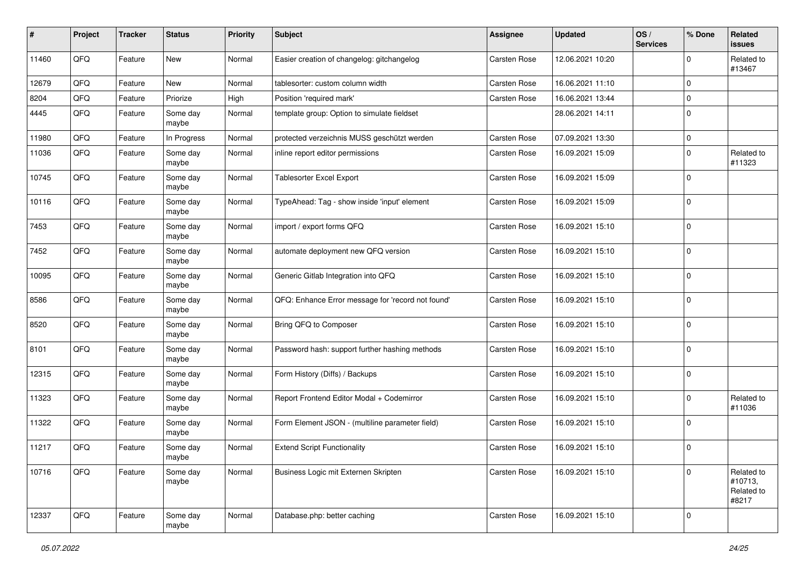| #     | Project | <b>Tracker</b> | <b>Status</b>       | <b>Priority</b> | <b>Subject</b>                                    | <b>Assignee</b>     | <b>Updated</b>   | OS/<br><b>Services</b> | % Done      | Related<br>issues                            |
|-------|---------|----------------|---------------------|-----------------|---------------------------------------------------|---------------------|------------------|------------------------|-------------|----------------------------------------------|
| 11460 | QFQ     | Feature        | New                 | Normal          | Easier creation of changelog: gitchangelog        | <b>Carsten Rose</b> | 12.06.2021 10:20 |                        | $\mathbf 0$ | Related to<br>#13467                         |
| 12679 | QFQ     | Feature        | New                 | Normal          | tablesorter: custom column width                  | <b>Carsten Rose</b> | 16.06.2021 11:10 |                        | 0           |                                              |
| 8204  | QFQ     | Feature        | Priorize            | High            | Position 'required mark'                          | <b>Carsten Rose</b> | 16.06.2021 13:44 |                        | 0           |                                              |
| 4445  | QFQ     | Feature        | Some day<br>maybe   | Normal          | template group: Option to simulate fieldset       |                     | 28.06.2021 14:11 |                        | $\mathbf 0$ |                                              |
| 11980 | QFQ     | Feature        | In Progress         | Normal          | protected verzeichnis MUSS geschützt werden       | <b>Carsten Rose</b> | 07.09.2021 13:30 |                        | $\mathbf 0$ |                                              |
| 11036 | QFQ     | Feature        | Some day<br>maybe   | Normal          | inline report editor permissions                  | <b>Carsten Rose</b> | 16.09.2021 15:09 |                        | $\mathbf 0$ | Related to<br>#11323                         |
| 10745 | QFQ     | Feature        | Some day<br>maybe   | Normal          | Tablesorter Excel Export                          | <b>Carsten Rose</b> | 16.09.2021 15:09 |                        | $\mathbf 0$ |                                              |
| 10116 | QFQ     | Feature        | Some day<br>maybe   | Normal          | TypeAhead: Tag - show inside 'input' element      | <b>Carsten Rose</b> | 16.09.2021 15:09 |                        | $\mathbf 0$ |                                              |
| 7453  | QFQ     | Feature        | Some day<br>maybe   | Normal          | import / export forms QFQ                         | Carsten Rose        | 16.09.2021 15:10 |                        | $\mathbf 0$ |                                              |
| 7452  | QFQ     | Feature        | Some day<br>maybe   | Normal          | automate deployment new QFQ version               | Carsten Rose        | 16.09.2021 15:10 |                        | $\mathbf 0$ |                                              |
| 10095 | QFQ     | Feature        | Some day<br>maybe   | Normal          | Generic Gitlab Integration into QFQ               | <b>Carsten Rose</b> | 16.09.2021 15:10 |                        | $\mathbf 0$ |                                              |
| 8586  | QFQ     | Feature        | Some day<br>maybe   | Normal          | QFQ: Enhance Error message for 'record not found' | <b>Carsten Rose</b> | 16.09.2021 15:10 |                        | $\mathbf 0$ |                                              |
| 8520  | QFQ     | Feature        | Some day<br>maybe   | Normal          | Bring QFQ to Composer                             | <b>Carsten Rose</b> | 16.09.2021 15:10 |                        | $\mathbf 0$ |                                              |
| 8101  | QFQ     | Feature        | Some day<br>maybe   | Normal          | Password hash: support further hashing methods    | Carsten Rose        | 16.09.2021 15:10 |                        | $\mathbf 0$ |                                              |
| 12315 | QFQ     | Feature        | Some day<br>maybe   | Normal          | Form History (Diffs) / Backups                    | <b>Carsten Rose</b> | 16.09.2021 15:10 |                        | $\mathbf 0$ |                                              |
| 11323 | QFQ     | Feature        | Some day<br>maybe   | Normal          | Report Frontend Editor Modal + Codemirror         | Carsten Rose        | 16.09.2021 15:10 |                        | $\mathbf 0$ | Related to<br>#11036                         |
| 11322 | QFQ     | Feature        | Some day<br>maybe   | Normal          | Form Element JSON - (multiline parameter field)   | Carsten Rose        | 16.09.2021 15:10 |                        | $\mathbf 0$ |                                              |
| 11217 | QFQ     | Feature        | Some day<br>  maybe | Normal          | <b>Extend Script Functionality</b>                | Carsten Rose        | 16.09.2021 15:10 |                        | $\mathbf 0$ |                                              |
| 10716 | QFQ     | Feature        | Some day<br>maybe   | Normal          | Business Logic mit Externen Skripten              | Carsten Rose        | 16.09.2021 15:10 |                        | $\mathbf 0$ | Related to<br>#10713,<br>Related to<br>#8217 |
| 12337 | QFQ     | Feature        | Some day<br>maybe   | Normal          | Database.php: better caching                      | Carsten Rose        | 16.09.2021 15:10 |                        | $\mathbf 0$ |                                              |